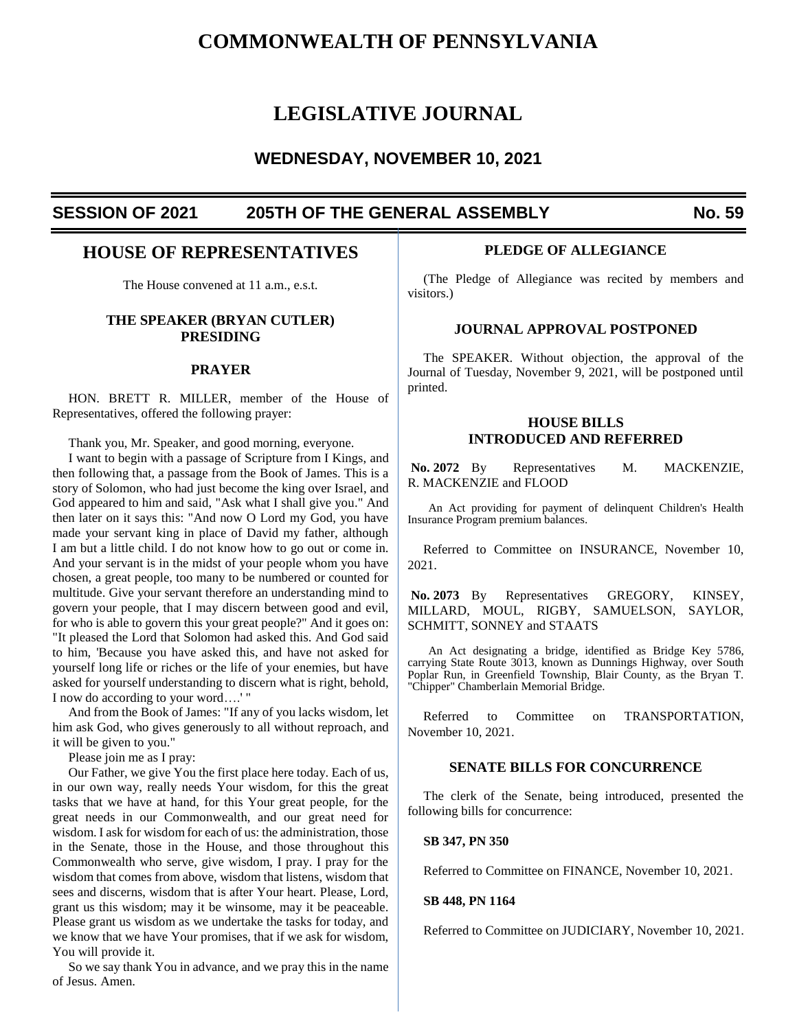# **COMMONWEALTH OF PENNSYLVANIA**

# **LEGISLATIVE JOURNAL**

# **WEDNESDAY, NOVEMBER 10, 2021**

# **SESSION OF 2021 205TH OF THE GENERAL ASSEMBLY No. 59**

# **HOUSE OF REPRESENTATIVES**

The House convened at 11 a.m., e.s.t.

# **THE SPEAKER (BRYAN CUTLER) PRESIDING**

#### **PRAYER**

HON. BRETT R. MILLER, member of the House of Representatives, offered the following prayer:

Thank you, Mr. Speaker, and good morning, everyone.

I want to begin with a passage of Scripture from I Kings, and then following that, a passage from the Book of James. This is a story of Solomon, who had just become the king over Israel, and God appeared to him and said, "Ask what I shall give you." And then later on it says this: "And now O Lord my God, you have made your servant king in place of David my father, although I am but a little child. I do not know how to go out or come in. And your servant is in the midst of your people whom you have chosen, a great people, too many to be numbered or counted for multitude. Give your servant therefore an understanding mind to govern your people, that I may discern between good and evil, for who is able to govern this your great people?" And it goes on: "It pleased the Lord that Solomon had asked this. And God said to him, 'Because you have asked this, and have not asked for yourself long life or riches or the life of your enemies, but have asked for yourself understanding to discern what is right, behold, I now do according to your word….' "

And from the Book of James: "If any of you lacks wisdom, let him ask God, who gives generously to all without reproach, and it will be given to you."

Please join me as I pray:

Our Father, we give You the first place here today. Each of us, in our own way, really needs Your wisdom, for this the great tasks that we have at hand, for this Your great people, for the great needs in our Commonwealth, and our great need for wisdom. I ask for wisdom for each of us: the administration, those in the Senate, those in the House, and those throughout this Commonwealth who serve, give wisdom, I pray. I pray for the wisdom that comes from above, wisdom that listens, wisdom that sees and discerns, wisdom that is after Your heart. Please, Lord, grant us this wisdom; may it be winsome, may it be peaceable. Please grant us wisdom as we undertake the tasks for today, and we know that we have Your promises, that if we ask for wisdom, You will provide it.

So we say thank You in advance, and we pray this in the name of Jesus. Amen.

## **PLEDGE OF ALLEGIANCE**

(The Pledge of Allegiance was recited by members and visitors.)

#### **JOURNAL APPROVAL POSTPONED**

The SPEAKER. Without objection, the approval of the Journal of Tuesday, November 9, 2021, will be postponed until printed.

# **HOUSE BILLS INTRODUCED AND REFERRED**

No. 2072 By Representatives M. MACKENZIE, R. MACKENZIE and FLOOD

An Act providing for payment of delinquent Children's Health Insurance Program premium balances.

Referred to Committee on INSURANCE, November 10, 2021.

**No. 2073** By Representatives GREGORY, KINSEY, MILLARD, MOUL, RIGBY, SAMUELSON, SAYLOR, SCHMITT, SONNEY and STAATS

An Act designating a bridge, identified as Bridge Key 5786, carrying State Route 3013, known as Dunnings Highway, over South Poplar Run, in Greenfield Township, Blair County, as the Bryan T. "Chipper" Chamberlain Memorial Bridge.

Referred to Committee on TRANSPORTATION, November 10, 2021.

# **SENATE BILLS FOR CONCURRENCE**

The clerk of the Senate, being introduced, presented the following bills for concurrence:

#### **SB 347, PN 350**

Referred to Committee on FINANCE, November 10, 2021.

#### **SB 448, PN 1164**

Referred to Committee on JUDICIARY, November 10, 2021.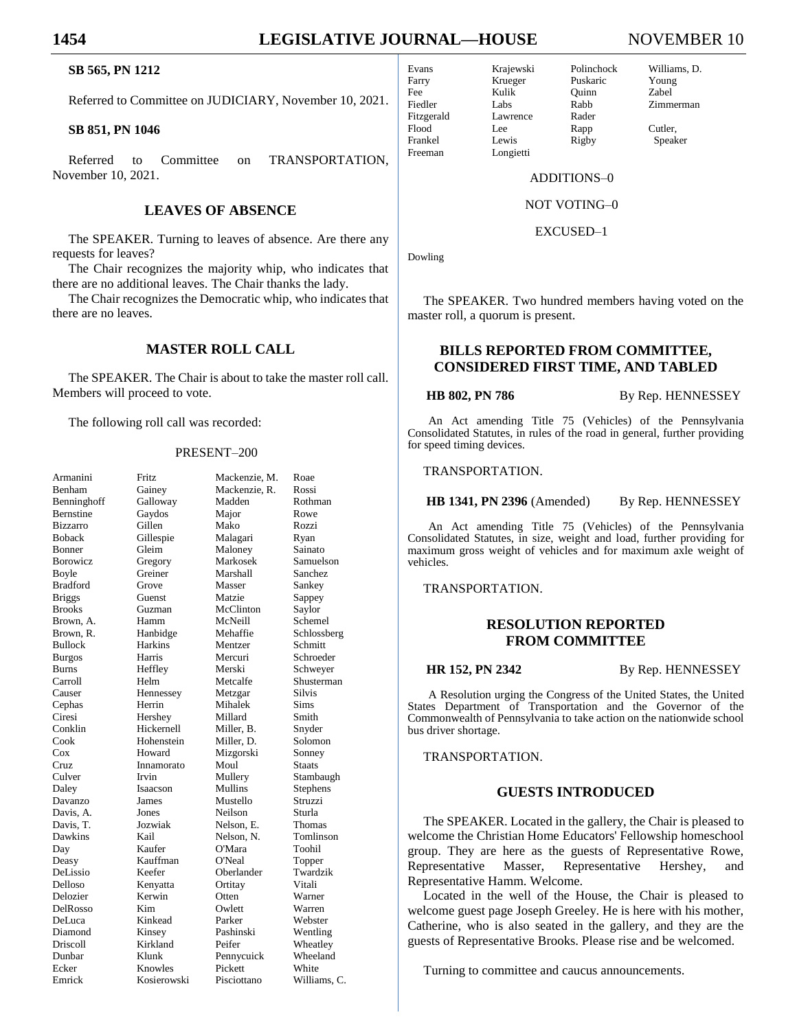# **1454 LEGISLATIVE JOURNAL—HOUSE** NOVEMBER 10

# **SB 565, PN 1212**

Referred to Committee on JUDICIARY, November 10, 2021.

#### **SB 851, PN 1046**

Referred to Committee on TRANSPORTATION, November 10, 2021.

# **LEAVES OF ABSENCE**

The SPEAKER. Turning to leaves of absence. Are there any requests for leaves?

The Chair recognizes the majority whip, who indicates that there are no additional leaves. The Chair thanks the lady.

The Chair recognizes the Democratic whip, who indicates that there are no leaves.

# **MASTER ROLL CALL**

The SPEAKER. The Chair is about to take the master roll call. Members will proceed to vote.

The following roll call was recorded:

#### PRESENT–200

| Armanini         | Fritz       | Mackenzie, M. | Roae         |
|------------------|-------------|---------------|--------------|
| Benham           | Gainey      | Mackenzie, R. | Rossi        |
| Benninghoff      | Galloway    | Madden        | Rothman      |
| <b>Bernstine</b> | Gaydos      | Major         | Rowe         |
| <b>Bizzarro</b>  | Gillen      | Mako          | Rozzi        |
| <b>Boback</b>    | Gillespie   | Malagari      | Ryan         |
| Bonner           | Gleim       | Maloney       | Sainato      |
| <b>Borowicz</b>  | Gregory     | Markosek      | Samuelson    |
| Boyle            | Greiner     | Marshall      | Sanchez      |
| <b>Bradford</b>  | Grove       | Masser        | Sankey       |
| <b>Briggs</b>    | Guenst      | Matzie        | Sappey       |
| <b>Brooks</b>    | Guzman      | McClinton     | Saylor       |
| Brown, A.        | Hamm        | McNeill       | Schemel      |
| Brown, R.        | Hanbidge    | Mehaffie      | Schlossberg  |
| Bullock          | Harkins     | Mentzer       | Schmitt      |
| <b>Burgos</b>    | Harris      | Mercuri       | Schroeder    |
| Burns            | Heffley     | Merski        | Schweyer     |
| Carroll          | Helm        | Metcalfe      | Shusterman   |
| Causer           | Hennessey   | Metzgar       | Silvis       |
| Cephas           | Herrin      | Mihalek       | Sims         |
| Ciresi           | Hershey     | Millard       | Smith        |
| Conklin          | Hickernell  | Miller, B.    | Snyder       |
| Cook             | Hohenstein  | Miller, D.    | Solomon      |
| $\cos$           | Howard      | Mizgorski     | Sonney       |
| Cruz             | Innamorato  | Moul          | Staats       |
| Culver           | Irvin       | Mullery       | Stambaugh    |
| Daley            | Isaacson    | Mullins       | Stephens     |
| Davanzo          | James       | Mustello      | Struzzi      |
| Davis, A.        | Jones       | Neilson       | Sturla       |
| Davis. T.        | Jozwiak     | Nelson, E.    | Thomas       |
| Dawkins          | Kail        | Nelson, N.    | Tomlinson    |
| Day              | Kaufer      | O'Mara        | Toohil       |
| Deasy            | Kauffman    | O'Neal        | Topper       |
| DeLissio         | Keefer      | Oberlander    | Twardzik     |
| Delloso          | Kenyatta    | Ortitay       | Vitali       |
| Delozier         | Kerwin      | Otten         | Warner       |
| DelRosso         | Kim         | Owlett        | Warren       |
| DeLuca           | Kinkead     | Parker        | Webster      |
| Diamond          | Kinsey      | Pashinski     | Wentling     |
| Driscoll         | Kirkland    | Peifer        | Wheatley     |
| Dunbar           | Klunk       | Pennycuick    | Wheeland     |
| Ecker            | Knowles     | Pickett       | White        |
| Emrick           | Kosierowski | Pisciottano   | Williams, C. |

Freeman Longietti

Krueger Puskaric Fee Kulik Quinn Zabel Fiedler Labs Rabb Zimmerman Fitzgerald Lawrence Rader<br>Flood Lee Rann Flood Lee Rapp Cutler, Frankel Lewis Rigby Speaker

Evans Krajewski Polinchock Williams, D.

ADDITIONS–0

NOT VOTING–0

EXCUSED–1

Dowling

The SPEAKER. Two hundred members having voted on the master roll, a quorum is present.

# **BILLS REPORTED FROM COMMITTEE, CONSIDERED FIRST TIME, AND TABLED**

**HB 802, PN 786** By Rep. HENNESSEY

An Act amending Title 75 (Vehicles) of the Pennsylvania Consolidated Statutes, in rules of the road in general, further providing for speed timing devices.

TRANSPORTATION.

**HB 1341, PN 2396** (Amended) By Rep. HENNESSEY

An Act amending Title 75 (Vehicles) of the Pennsylvania Consolidated Statutes, in size, weight and load, further providing for maximum gross weight of vehicles and for maximum axle weight of vehicles.

TRANSPORTATION.

## **RESOLUTION REPORTED FROM COMMITTEE**

**HR 152, PN 2342** By Rep. HENNESSEY

A Resolution urging the Congress of the United States, the United States Department of Transportation and the Governor of the Commonwealth of Pennsylvania to take action on the nationwide school bus driver shortage.

TRANSPORTATION.

#### **GUESTS INTRODUCED**

The SPEAKER. Located in the gallery, the Chair is pleased to welcome the Christian Home Educators' Fellowship homeschool group. They are here as the guests of Representative Rowe, Representative Masser, Representative Hershey, and Representative Hamm. Welcome.

Located in the well of the House, the Chair is pleased to welcome guest page Joseph Greeley. He is here with his mother, Catherine, who is also seated in the gallery, and they are the guests of Representative Brooks. Please rise and be welcomed.

Turning to committee and caucus announcements.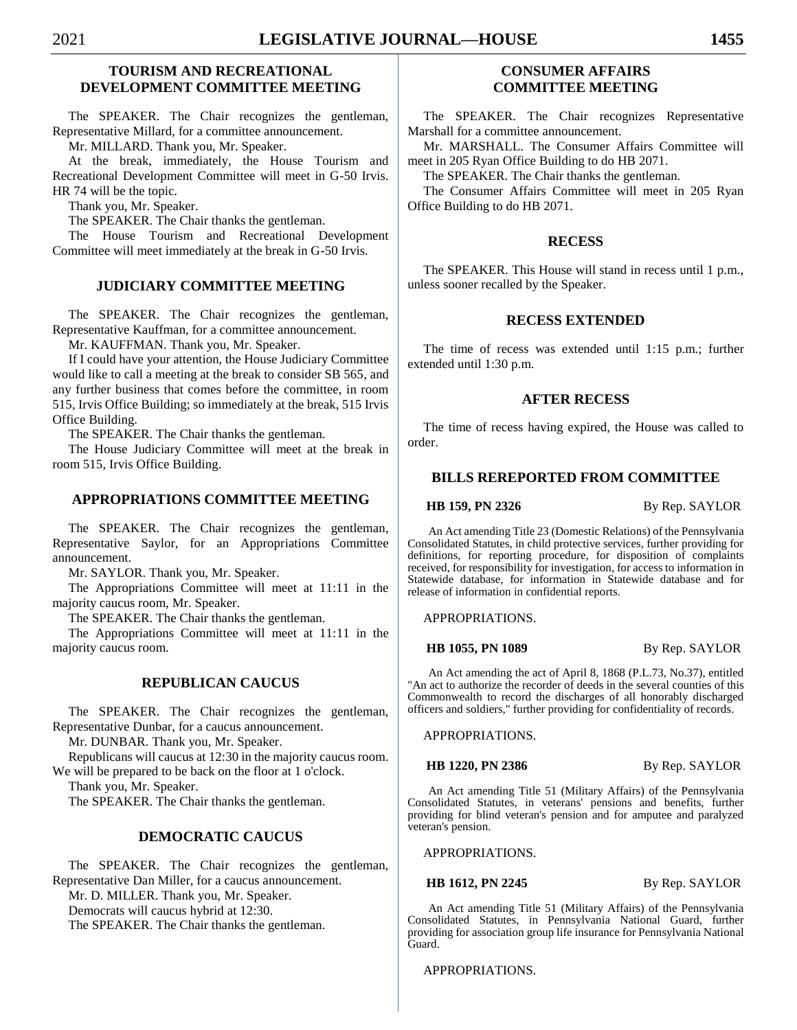# **TOURISM AND RECREATIONAL DEVELOPMENT COMMITTEE MEETING**

The SPEAKER. The Chair recognizes the gentleman, Representative Millard, for a committee announcement.

Mr. MILLARD. Thank you, Mr. Speaker.

At the break, immediately, the House Tourism and Recreational Development Committee will meet in G-50 Irvis. HR 74 will be the topic.

Thank you, Mr. Speaker.

The SPEAKER. The Chair thanks the gentleman.

The House Tourism and Recreational Development Committee will meet immediately at the break in G-50 Irvis.

# **JUDICIARY COMMITTEE MEETING**

The SPEAKER. The Chair recognizes the gentleman, Representative Kauffman, for a committee announcement.

Mr. KAUFFMAN. Thank you, Mr. Speaker.

If I could have your attention, the House Judiciary Committee would like to call a meeting at the break to consider SB 565, and any further business that comes before the committee, in room 515, Irvis Office Building; so immediately at the break, 515 Irvis Office Building.

The SPEAKER. The Chair thanks the gentleman.

The House Judiciary Committee will meet at the break in room 515, Irvis Office Building.

#### **APPROPRIATIONS COMMITTEE MEETING**

The SPEAKER. The Chair recognizes the gentleman, Representative Saylor, for an Appropriations Committee announcement.

Mr. SAYLOR. Thank you, Mr. Speaker.

The Appropriations Committee will meet at 11:11 in the majority caucus room, Mr. Speaker.

The SPEAKER. The Chair thanks the gentleman.

The Appropriations Committee will meet at 11:11 in the majority caucus room.

#### **REPUBLICAN CAUCUS**

The SPEAKER. The Chair recognizes the gentleman, Representative Dunbar, for a caucus announcement.

Mr. DUNBAR. Thank you, Mr. Speaker.

Republicans will caucus at 12:30 in the majority caucus room. We will be prepared to be back on the floor at 1 o'clock.

Thank you, Mr. Speaker.

The SPEAKER. The Chair thanks the gentleman.

# **DEMOCRATIC CAUCUS**

The SPEAKER. The Chair recognizes the gentleman, Representative Dan Miller, for a caucus announcement. Mr. D. MILLER. Thank you, Mr. Speaker. Democrats will caucus hybrid at 12:30.

The SPEAKER. The Chair thanks the gentleman.

# **CONSUMER AFFAIRS COMMITTEE MEETING**

The SPEAKER. The Chair recognizes Representative Marshall for a committee announcement.

Mr. MARSHALL. The Consumer Affairs Committee will meet in 205 Ryan Office Building to do HB 2071.

The SPEAKER. The Chair thanks the gentleman.

The Consumer Affairs Committee will meet in 205 Ryan Office Building to do HB 2071.

#### **RECESS**

The SPEAKER. This House will stand in recess until 1 p.m., unless sooner recalled by the Speaker.

#### **RECESS EXTENDED**

The time of recess was extended until 1:15 p.m.; further extended until 1:30 p.m.

#### **AFTER RECESS**

The time of recess having expired, the House was called to order.

# **BILLS REREPORTED FROM COMMITTEE**

**HB 159, PN 2326** By Rep. SAYLOR

An Act amending Title 23 (Domestic Relations) of the Pennsylvania Consolidated Statutes, in child protective services, further providing for definitions, for reporting procedure, for disposition of complaints received, for responsibility for investigation, for access to information in Statewide database, for information in Statewide database and for release of information in confidential reports.

APPROPRIATIONS.

**HB 1055, PN 1089** By Rep. SAYLOR

An Act amending the act of April 8, 1868 (P.L.73, No.37), entitled "An act to authorize the recorder of deeds in the several counties of this Commonwealth to record the discharges of all honorably discharged officers and soldiers," further providing for confidentiality of records.

APPROPRIATIONS.

**HB 1220, PN 2386** By Rep. SAYLOR

An Act amending Title 51 (Military Affairs) of the Pennsylvania Consolidated Statutes, in veterans' pensions and benefits, further providing for blind veteran's pension and for amputee and paralyzed veteran's pension.

APPROPRIATIONS.

#### **HB 1612, PN 2245** By Rep. SAYLOR

An Act amending Title 51 (Military Affairs) of the Pennsylvania Consolidated Statutes, in Pennsylvania National Guard, further providing for association group life insurance for Pennsylvania National Guard.

APPROPRIATIONS.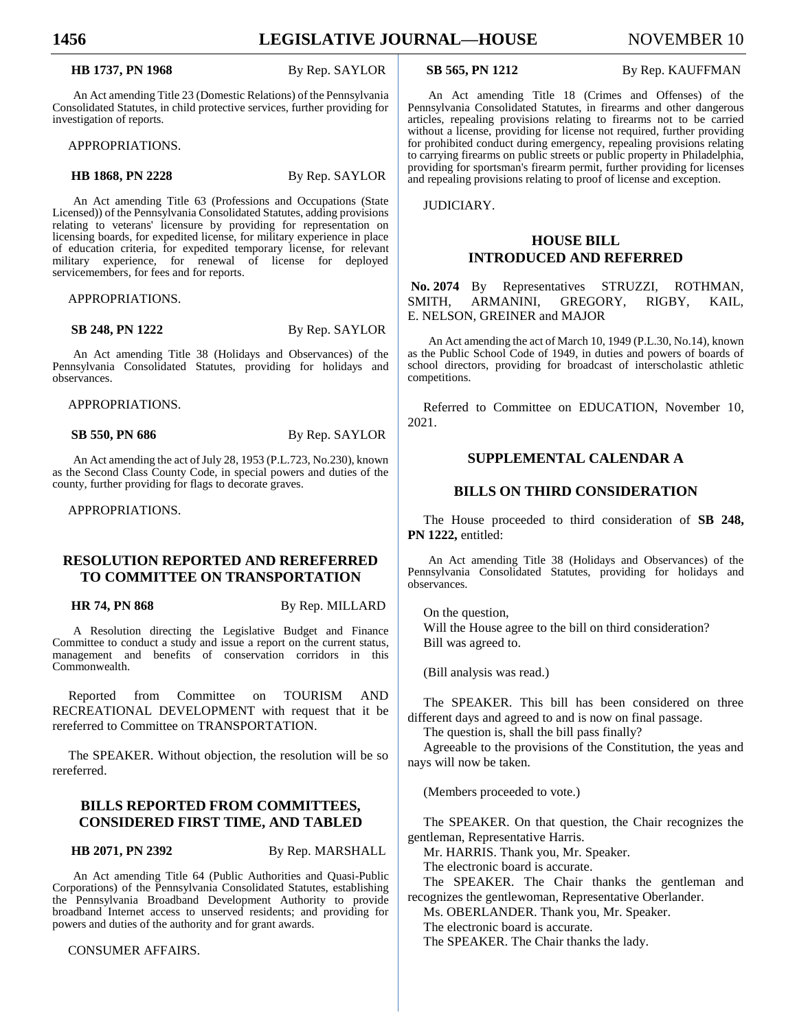#### **HB 1737, PN 1968** By Rep. SAYLOR

An Act amending Title 23 (Domestic Relations) of the Pennsylvania Consolidated Statutes, in child protective services, further providing for investigation of reports.

APPROPRIATIONS.

#### **HB 1868, PN 2228** By Rep. SAYLOR

An Act amending Title 63 (Professions and Occupations (State Licensed)) of the Pennsylvania Consolidated Statutes, adding provisions relating to veterans' licensure by providing for representation on licensing boards, for expedited license, for military experience in place of education criteria, for expedited temporary license, for relevant military experience, for renewal of license for deployed servicemembers, for fees and for reports.

APPROPRIATIONS.

**SB 248, PN 1222** By Rep. SAYLOR

An Act amending Title 38 (Holidays and Observances) of the Pennsylvania Consolidated Statutes, providing for holidays and observances.

APPROPRIATIONS.

**SB 550, PN 686** By Rep. SAYLOR

An Act amending the act of July 28, 1953 (P.L.723, No.230), known as the Second Class County Code, in special powers and duties of the county, further providing for flags to decorate graves.

APPROPRIATIONS.

# **RESOLUTION REPORTED AND REREFERRED TO COMMITTEE ON TRANSPORTATION**

**HR 74, PN 868** By Rep. MILLARD

A Resolution directing the Legislative Budget and Finance Committee to conduct a study and issue a report on the current status, management and benefits of conservation corridors in this Commonwealth.

Reported from Committee on TOURISM AND RECREATIONAL DEVELOPMENT with request that it be rereferred to Committee on TRANSPORTATION.

The SPEAKER. Without objection, the resolution will be so rereferred.

# **BILLS REPORTED FROM COMMITTEES, CONSIDERED FIRST TIME, AND TABLED**

**HB 2071, PN 2392** By Rep. MARSHALL

An Act amending Title 64 (Public Authorities and Quasi-Public Corporations) of the Pennsylvania Consolidated Statutes, establishing the Pennsylvania Broadband Development Authority to provide broadband Internet access to unserved residents; and providing for powers and duties of the authority and for grant awards.

CONSUMER AFFAIRS.

**SB 565, PN 1212** By Rep. KAUFFMAN

An Act amending Title 18 (Crimes and Offenses) of the Pennsylvania Consolidated Statutes, in firearms and other dangerous articles, repealing provisions relating to firearms not to be carried without a license, providing for license not required, further providing for prohibited conduct during emergency, repealing provisions relating to carrying firearms on public streets or public property in Philadelphia, providing for sportsman's firearm permit, further providing for licenses and repealing provisions relating to proof of license and exception.

JUDICIARY.

## **HOUSE BILL INTRODUCED AND REFERRED**

**No. 2074** By Representatives STRUZZI, ROTHMAN, SMITH, ARMANINI, GREGORY, RIGBY, KAIL, E. NELSON, GREINER and MAJOR

An Act amending the act of March 10, 1949 (P.L.30, No.14), known as the Public School Code of 1949, in duties and powers of boards of school directors, providing for broadcast of interscholastic athletic competitions.

Referred to Committee on EDUCATION, November 10, 2021.

#### **SUPPLEMENTAL CALENDAR A**

#### **BILLS ON THIRD CONSIDERATION**

The House proceeded to third consideration of **SB 248, PN 1222,** entitled:

An Act amending Title 38 (Holidays and Observances) of the Pennsylvania Consolidated Statutes, providing for holidays and observances.

On the question, Will the House agree to the bill on third consideration? Bill was agreed to.

(Bill analysis was read.)

The SPEAKER. This bill has been considered on three different days and agreed to and is now on final passage.

The question is, shall the bill pass finally?

Agreeable to the provisions of the Constitution, the yeas and nays will now be taken.

(Members proceeded to vote.)

The SPEAKER. On that question, the Chair recognizes the gentleman, Representative Harris.

Mr. HARRIS. Thank you, Mr. Speaker.

The electronic board is accurate.

The SPEAKER. The Chair thanks the gentleman and recognizes the gentlewoman, Representative Oberlander.

Ms. OBERLANDER. Thank you, Mr. Speaker.

The electronic board is accurate.

The SPEAKER. The Chair thanks the lady.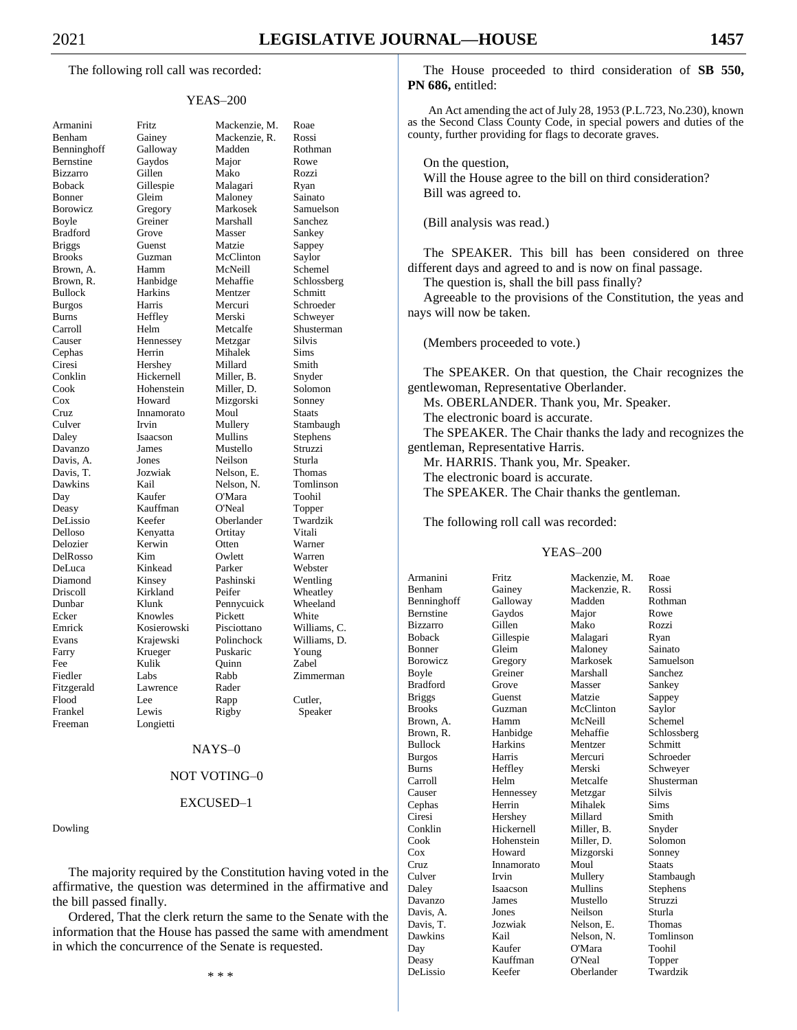#### YEAS–200

| Armanini                    |
|-----------------------------|
| Benham                      |
| Benninghoff                 |
| Bernstine                   |
| <b>Bizzarro</b>             |
| <b>Boback</b>               |
|                             |
| Bonner                      |
| Borowicz                    |
| Boyle                       |
| <b>Bradford</b>             |
| <b>Briggs</b>               |
| <b>Brooks</b>               |
| Brown,<br>A.                |
| Brown, R.                   |
| Bullock                     |
| <b>Burgos</b>               |
| Burns                       |
|                             |
| Carroll<br>Causer<br>Cephas |
|                             |
|                             |
| Ciresi                      |
| Conklin                     |
| Cook                        |
| Cox                         |
| Cruz                        |
|                             |
| Culver<br>Daley             |
| Davanzo                     |
| Davis, A.                   |
| Davis,<br>T.                |
| Dawkins                     |
|                             |
|                             |
| Day                         |
| Deasy                       |
| DeLissio                    |
| Delloso                     |
|                             |
|                             |
| Delozier<br>DelRosso        |
| DeLuca                      |
| Diamond                     |
| Driscoll                    |
| Dunbar                      |
| Ecker                       |
| Emrick                      |
| Evans                       |
| Farry                       |
| Fee                         |
| Fiedler                     |
|                             |
| Fitzgerald<br>Flood         |
|                             |
| Frankel<br>Freeman          |

| Armanini       | Fritz       | Mackenzie, M.  | Roae          |
|----------------|-------------|----------------|---------------|
| Benham         | Gainey      | Mackenzie, R.  | Rossi         |
| Benninghoff    | Galloway    | Madden         | Rothman       |
| Bernstine      | Gaydos      | Major          | Rowe          |
| Bizzarro       | Gillen      | Mako           | Rozzi         |
| Boback         | Gillespie   | Malagari       | Ryan          |
| Bonner         | Gleim       | Maloney        | Sainato       |
| Borowicz       | Gregory     | Markosek       | Samuelson     |
| Boyle          | Greiner     | Marshall       | Sanchez       |
| Bradford       | Grove       | Masser         | Sankey        |
| <b>Briggs</b>  | Guenst      | Matzie         | Sappey        |
| Brooks         | Guzman      | McClinton      | Saylor        |
| Brown, A.      | Hamm        | McNeill        | Schemel       |
| Brown, R.      | Hanbidge    | Mehaffie       | Schlossberg   |
| <b>Bullock</b> | Harkins     | Mentzer        | Schmitt       |
| <b>Burgos</b>  | Harris      | Mercuri        | Schroeder     |
| Burns          | Heffley     | Merski         | Schweyer      |
| Carroll        | Helm        | Metcalfe       | Shusterman    |
| Causer         | Hennessey   | Metzgar        | Silvis        |
| Cephas         | Herrin      | Mihalek        | Sims          |
| Ciresi         | Hershey     | Millard        | Smith         |
| Conklin        | Hickernell  | Miller, B.     | Snyder        |
| Cook           | Hohenstein  | Miller, D.     | Solomon       |
| Cox            | Howard      | Mizgorski      | Sonney        |
| Cruz           | Innamorato  | Moul           | <b>Staats</b> |
| Culver         | Irvin       | Mullery        | Stambaugh     |
| Daley          | Isaacson    | <b>Mullins</b> | Stephens      |
| Davanzo        | James       | Mustello       | Struzzi       |
| Davis, A.      | Jones       | Neilson        | Sturla        |
| Davis, T.      | Jozwiak     | Nelson, E.     | Thomas        |
| Dawkins        | Kail        | Nelson, N.     | Tomlinson     |
| Day            | Kaufer      | O'Mara         | Toohil        |
| Deasy          | Kauffman    | O'Neal         | Topper        |
| DeLissio       | Keefer      | Oberlander     | Twardzik      |
| Delloso        | Kenyatta    | Ortitay        | Vitali        |
| Delozier       | Kerwin      | Otten          | Warner        |
| DelRosso       | Kim         | Owlett         | Warren        |
| DeLuca         | Kinkead     | Parker         | Webster       |
| Diamond        | Kinsey      | Pashinski      | Wentling      |
| Driscoll       | Kirkland    | Peifer         | Wheatley      |
| Dunbar         | Klunk       | Pennycuick     | Wheeland      |
| Ecker          | Knowles     | Pickett        | White         |
| Emrick         | Kosierowski | Pisciottano    | Williams, C.  |
| Evans          | Krajewski   | Polinchock     | Williams, D.  |
| Farry          | Krueger     | Puskaric       | Young         |
| Fee            | Kulik       | Quinn          | Zabel         |
| Fiedler        | Labs        | Rabb           | Zimmerman     |
| Fitzgerald     | Lawrence    | Rader          |               |
| Flood          | Lee         | Rapp           | Cutler,       |
| Frankel        | Lewis       | Rigby          | Speaker       |
| Freeman        | Longietti   |                |               |
|                |             |                |               |

#### NAYS–0

# NOT VOTING–0

#### EXCUSED–1

Dowling

The majority required by the Constitution having voted in the affirmative, the question was determined in the affirmative and the bill passed finally.

Ordered, That the clerk return the same to the Senate with the information that the House has passed the same with amendment in which the concurrence of the Senate is requested.

\* \* \*

The House proceeded to third consideration of **SB 550, PN 686,** entitled:

An Act amending the act of July 28, 1953 (P.L.723, No.230), known as the Second Class County Code, in special powers and duties of the county, further providing for flags to decorate graves.

On the question, Will the House agree to the bill on third consideration? Bill was agreed to.

(Bill analysis was read.)

The SPEAKER. This bill has been considered on three different days and agreed to and is now on final passage.

The question is, shall the bill pass finally?

Agreeable to the provisions of the Constitution, the yeas and nays will now be taken.

(Members proceeded to vote.)

The SPEAKER. On that question, the Chair recognizes the gentlewoman, Representative Oberlander.

Ms. OBERLANDER. Thank you, Mr. Speaker.

The electronic board is accurate.

The SPEAKER. The Chair thanks the lady and recognizes the gentleman, Representative Harris.

Mr. HARRIS. Thank you, Mr. Speaker.

The electronic board is accurate.

The SPEAKER. The Chair thanks the gentleman.

The following roll call was recorded:

#### YEAS–200

| Armanini        | Fritz          | Mackenzie, M. | Roae          |
|-----------------|----------------|---------------|---------------|
| Benham          | Gainey         | Mackenzie, R. | Rossi         |
| Benninghoff     | Galloway       | Madden        | Rothman       |
| Bernstine       | Gaydos         | Major         | Rowe          |
| <b>Bizzarro</b> | Gillen         | Mako          | Rozzi         |
| Boback          | Gillespie      | Malagari      | Ryan          |
| <b>Bonner</b>   | Gleim          | Maloney       | Sainato       |
| Borowicz        | Gregory        | Markosek      | Samuelson     |
| Boyle           | Greiner        | Marshall      | Sanchez       |
| <b>Bradford</b> | Grove          | Masser        | Sankey        |
| <b>Briggs</b>   | Guenst         | Matzie        | Sappey        |
| <b>Brooks</b>   | Guzman         | McClinton     | Saylor        |
| Brown, A.       | Hamm           | McNeill       | Schemel       |
| Brown, R.       | Hanbidge       | Mehaffie      | Schlossberg   |
| <b>Bullock</b>  | <b>Harkins</b> | Mentzer       | Schmitt       |
| Burgos          | Harris         | Mercuri       | Schroeder     |
| <b>Burns</b>    | Heffley        | Merski        | Schweyer      |
| Carroll         | Helm           | Metcalfe      | Shusterman    |
| Causer          | Hennessey      | Metzgar       | <b>Silvis</b> |
| Cephas          | Herrin         | Mihalek       | <b>Sims</b>   |
| Ciresi          | Hershey        | Millard       | Smith         |
| Conklin         | Hickernell     | Miller, B.    | Snyder        |
| Cook            | Hohenstein     | Miller, D.    | Solomon       |
| Cox             | Howard         | Mizgorski     | Sonney        |
| Cruz            | Innamorato     | Moul          | <b>Staats</b> |
| Culver          | Irvin          | Mullery       | Stambaugh     |
| Daley           | Isaacson       | Mullins       | Stephens      |
| Davanzo         | James          | Mustello      | Struzzi       |
| Davis, A.       | Jones          | Neilson       | Sturla        |
| Davis, T.       | Jozwiak        | Nelson. E.    | <b>Thomas</b> |
| Dawkins         | Kail           | Nelson, N.    | Tomlinson     |
| Day             | Kaufer         | O'Mara        | Toohil        |
| Deasy           | Kauffman       | O'Neal        | Topper        |
| DeLissio        | Keefer         | Oberlander    | Twardzik      |
|                 |                |               |               |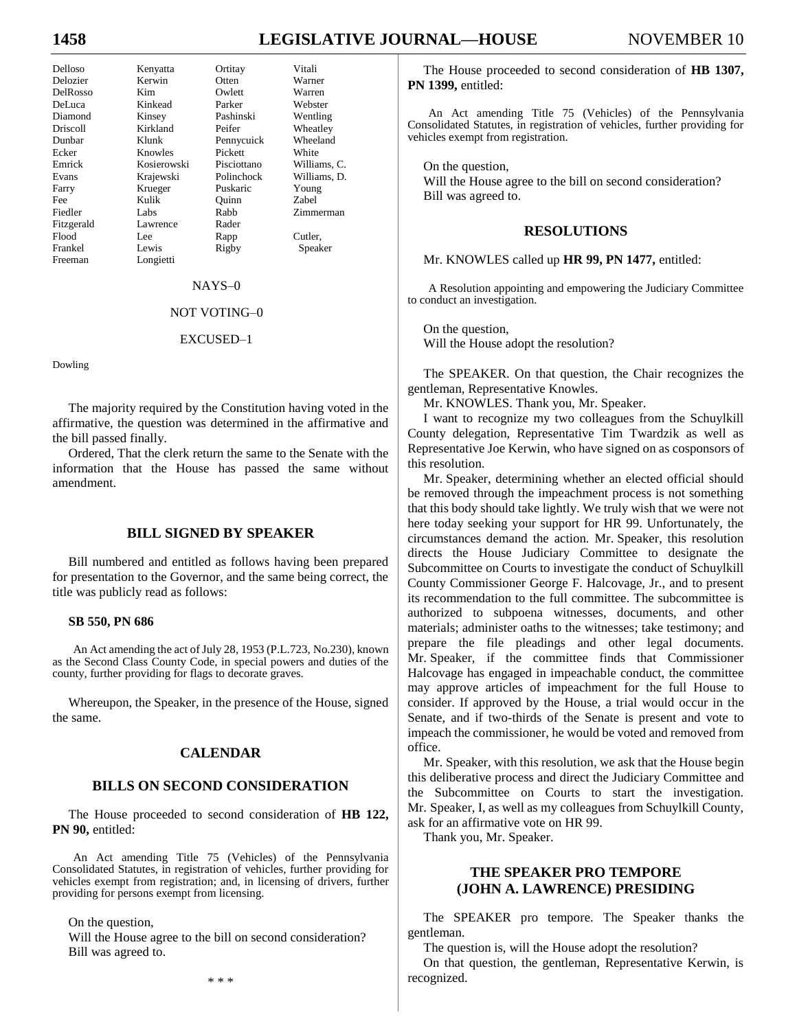# **1458 LEGISLATIVE JOURNAL—HOUSE** NOVEMBER 10

| Delloso    | Kenyatta    | Ortitay     | Vitali       |
|------------|-------------|-------------|--------------|
| Delozier   | Kerwin      | Otten       | Warner       |
| DelRosso   | Kim         | Owlett      | Warren       |
| DeLuca     | Kinkead     | Parker      | Webster      |
| Diamond    | Kinsey      | Pashinski   | Wentling     |
| Driscoll   | Kirkland    | Peifer      | Wheatley     |
| Dunbar     | Klunk       | Pennycuick  | Wheeland     |
| Ecker      | Knowles     | Pickett     | White        |
| Emrick     | Kosierowski | Pisciottano | Williams, C. |
| Evans      | Krajewski   | Polinchock  | Williams, D. |
| Farry      | Krueger     | Puskaric    | Young        |
| Fee        | Kulik       | Ouinn       | Zabel        |
| Fiedler    | Labs        | Rabb        | Zimmerman    |
| Fitzgerald | Lawrence    | Rader       |              |
| Flood      | Lee.        | Rapp        | Cutler,      |
| Frankel    | Lewis       | Rigby       | Speaker      |
| Freeman    | Longietti   |             |              |

NAYS–0

#### NOT VOTING–0

#### EXCUSED–1

Dowling

The majority required by the Constitution having voted in the affirmative, the question was determined in the affirmative and the bill passed finally.

Ordered, That the clerk return the same to the Senate with the information that the House has passed the same without amendment.

#### **BILL SIGNED BY SPEAKER**

Bill numbered and entitled as follows having been prepared for presentation to the Governor, and the same being correct, the title was publicly read as follows:

#### **SB 550, PN 686**

An Act amending the act of July 28, 1953 (P.L.723, No.230), known as the Second Class County Code, in special powers and duties of the county, further providing for flags to decorate graves.

Whereupon, the Speaker, in the presence of the House, signed the same.

#### **CALENDAR**

#### **BILLS ON SECOND CONSIDERATION**

The House proceeded to second consideration of **HB 122, PN 90,** entitled:

An Act amending Title 75 (Vehicles) of the Pennsylvania Consolidated Statutes, in registration of vehicles, further providing for vehicles exempt from registration; and, in licensing of drivers, further providing for persons exempt from licensing.

On the question,

Will the House agree to the bill on second consideration? Bill was agreed to.

\* \* \*

The House proceeded to second consideration of **HB 1307, PN 1399,** entitled:

An Act amending Title 75 (Vehicles) of the Pennsylvania Consolidated Statutes, in registration of vehicles, further providing for vehicles exempt from registration.

On the question, Will the House agree to the bill on second consideration? Bill was agreed to.

#### **RESOLUTIONS**

Mr. KNOWLES called up **HR 99, PN 1477,** entitled:

A Resolution appointing and empowering the Judiciary Committee to conduct an investigation.

On the question, Will the House adopt the resolution?

The SPEAKER. On that question, the Chair recognizes the gentleman, Representative Knowles.

Mr. KNOWLES. Thank you, Mr. Speaker.

I want to recognize my two colleagues from the Schuylkill County delegation, Representative Tim Twardzik as well as Representative Joe Kerwin, who have signed on as cosponsors of this resolution.

Mr. Speaker, determining whether an elected official should be removed through the impeachment process is not something that this body should take lightly. We truly wish that we were not here today seeking your support for HR 99. Unfortunately, the circumstances demand the action. Mr. Speaker, this resolution directs the House Judiciary Committee to designate the Subcommittee on Courts to investigate the conduct of Schuylkill County Commissioner George F. Halcovage, Jr., and to present its recommendation to the full committee. The subcommittee is authorized to subpoena witnesses, documents, and other materials; administer oaths to the witnesses; take testimony; and prepare the file pleadings and other legal documents. Mr. Speaker, if the committee finds that Commissioner Halcovage has engaged in impeachable conduct, the committee may approve articles of impeachment for the full House to consider. If approved by the House, a trial would occur in the Senate, and if two-thirds of the Senate is present and vote to impeach the commissioner, he would be voted and removed from office.

Mr. Speaker, with this resolution, we ask that the House begin this deliberative process and direct the Judiciary Committee and the Subcommittee on Courts to start the investigation. Mr. Speaker, I, as well as my colleagues from Schuylkill County, ask for an affirmative vote on HR 99.

Thank you, Mr. Speaker.

# **THE SPEAKER PRO TEMPORE (JOHN A. LAWRENCE) PRESIDING**

The SPEAKER pro tempore. The Speaker thanks the gentleman.

The question is, will the House adopt the resolution?

On that question, the gentleman, Representative Kerwin, is recognized.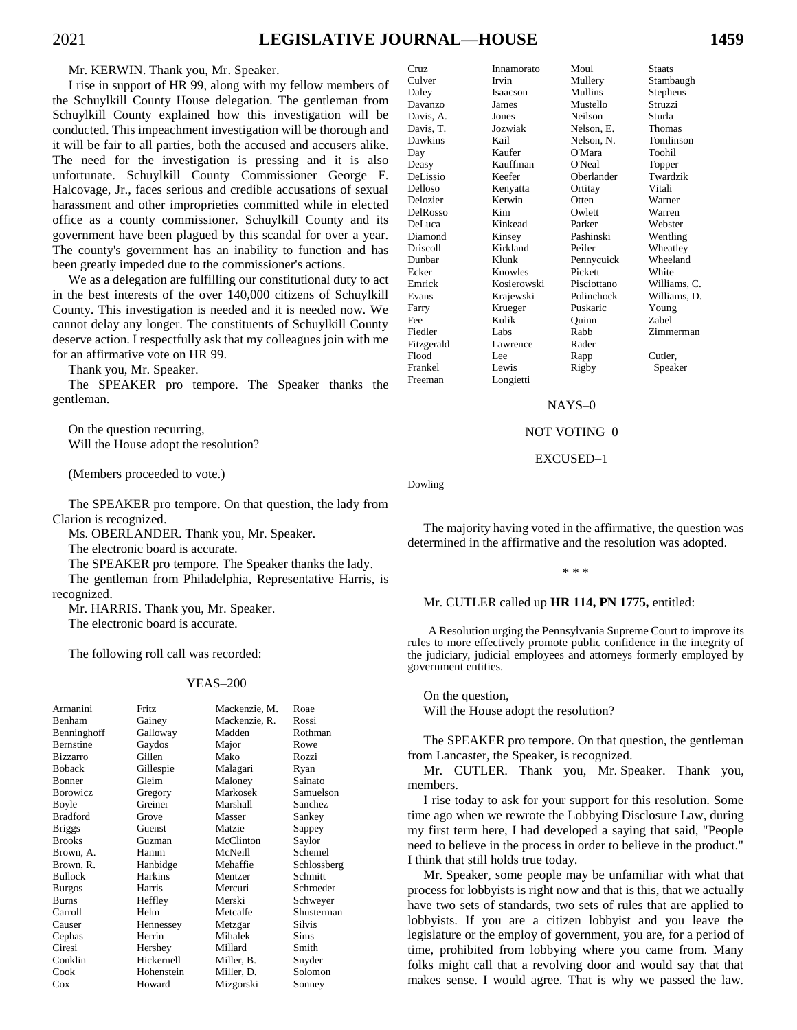I rise in support of HR 99, along with my fellow members of the Schuylkill County House delegation. The gentleman from Schuylkill County explained how this investigation will be conducted. This impeachment investigation will be thorough and it will be fair to all parties, both the accused and accusers alike. The need for the investigation is pressing and it is also unfortunate. Schuylkill County Commissioner George F. Halcovage, Jr., faces serious and credible accusations of sexual harassment and other improprieties committed while in elected office as a county commissioner. Schuylkill County and its government have been plagued by this scandal for over a year. The county's government has an inability to function and has been greatly impeded due to the commissioner's actions.

We as a delegation are fulfilling our constitutional duty to act in the best interests of the over 140,000 citizens of Schuylkill County. This investigation is needed and it is needed now. We cannot delay any longer. The constituents of Schuylkill County deserve action. I respectfully ask that my colleagues join with me for an affirmative vote on HR 99.

Thank you, Mr. Speaker.

The SPEAKER pro tempore. The Speaker thanks the gentleman.

On the question recurring, Will the House adopt the resolution?

(Members proceeded to vote.)

The SPEAKER pro tempore. On that question, the lady from Clarion is recognized.

Ms. OBERLANDER. Thank you, Mr. Speaker.

The electronic board is accurate.

The SPEAKER pro tempore. The Speaker thanks the lady.

The gentleman from Philadelphia, Representative Harris, is recognized.

Mr. HARRIS. Thank you, Mr. Speaker. The electronic board is accurate.

The following roll call was recorded:

#### YEAS–200

| Armanini         | <b>Fritz</b> | Mackenzie, M. | Roae        |
|------------------|--------------|---------------|-------------|
| Benham           | Gainey       | Mackenzie, R. | Rossi       |
| Benninghoff      | Galloway     | Madden        | Rothman     |
| <b>Bernstine</b> | Gaydos       | Major         | Rowe        |
| <b>Bizzarro</b>  | Gillen       | Mako          | Rozzi       |
| <b>Boback</b>    | Gillespie    | Malagari      | Ryan        |
| Bonner           | Gleim        | Maloney       | Sainato     |
| Borowicz         | Gregory      | Markosek      | Samuelson   |
| Boyle            | Greiner      | Marshall      | Sanchez     |
| <b>Bradford</b>  | Grove        | Masser        | Sankey      |
| <b>Briggs</b>    | Guenst       | Matzie        | Sappey      |
| <b>Brooks</b>    | Guzman       | McClinton     | Saylor      |
| Brown, A.        | Hamm         | McNeill       | Schemel     |
| Brown, R.        | Hanbidge     | Mehaffie      | Schlossberg |
| <b>Bullock</b>   | Harkins      | Mentzer       | Schmitt     |
| <b>Burgos</b>    | Harris       | Mercuri       | Schroeder   |
| <b>Burns</b>     | Heffley      | Merski        | Schweyer    |
| Carroll          | Helm         | Metcalfe      | Shusterman  |
| Causer           | Hennessey    | Metzgar       | Silvis      |
| Cephas           | Herrin       | Mihalek       | Sims        |
| Ciresi           | Hershey      | Millard       | Smith       |
| Conklin          | Hickernell   | Miller, B.    | Snyder      |
| Cook             | Hohenstein   | Miller, D.    | Solomon     |
| Cox              | Howard       | Mizgorski     | Sonney      |

| C <sub>TI</sub> | Innamorato   | Moul        | <b>Staats</b>   |
|-----------------|--------------|-------------|-----------------|
| Culver          | <b>Irvin</b> | Mullery     | Stambaugh       |
| Daley           | Isaacson     | Mullins     | <b>Stephens</b> |
| Davanzo         | <b>James</b> | Mustello    | Struzzi         |
| Davis. A.       | Jones        | Neilson     | Sturla          |
| Davis, T.       | Jozwiak      | Nelson, E.  | <b>Thomas</b>   |
| Dawkins         | Kail         | Nelson. N.  | Tomlinson       |
| Day             | Kaufer       | O'Mara      | Toohil          |
| Deasy           | Kauffman     | O'Neal      | Topper          |
| DeLissio        | Keefer       | Oberlander  | Twardzik        |
| Delloso         | Kenyatta     | Ortitay     | Vitali          |
| Delozier        | Kerwin       | Otten       | Warner          |
| DelRosso        | Kim          | Owlett      | Warren          |
| DeLuca          | Kinkead      | Parker      | Webster         |
| Diamond         | Kinsey       | Pashinski   | Wentling        |
| Driscoll        | Kirkland     | Peifer      | Wheatley        |
| Dunbar          | Klunk        | Pennycuick  | Wheeland        |
| Ecker           | Knowles      | Pickett     | White           |
| Emrick          | Kosierowski  | Pisciottano | Williams, C.    |
| Evans           | Krajewski    | Polinchock  | Williams, D.    |
| Farry           | Krueger      | Puskaric    | Young           |
| Fee             | Kulik        | Ouinn       | <b>Zabel</b>    |
| Fiedler         | Labs.        | Rabb        | Zimmerman       |
| Fitzgerald      | Lawrence     | Rader       |                 |
| Flood           | Lee.         | Rapp        | Cutler,         |
| Frankel         | Lewis        | Rigby       | Speaker         |
| Freeman         | Longietti    |             |                 |
|                 |              |             |                 |

#### NAYS–0

#### NOT VOTING–0

#### EXCUSED–1

Dowling

The majority having voted in the affirmative, the question was determined in the affirmative and the resolution was adopted.

\* \* \*

#### Mr. CUTLER called up **HR 114, PN 1775,** entitled:

A Resolution urging the Pennsylvania Supreme Court to improve its rules to more effectively promote public confidence in the integrity of the judiciary, judicial employees and attorneys formerly employed by government entities.

On the question, Will the House adopt the resolution?

The SPEAKER pro tempore. On that question, the gentleman from Lancaster, the Speaker, is recognized.

Mr. CUTLER. Thank you, Mr. Speaker. Thank you, members.

I rise today to ask for your support for this resolution. Some time ago when we rewrote the Lobbying Disclosure Law, during my first term here, I had developed a saying that said, "People need to believe in the process in order to believe in the product." I think that still holds true today.

Mr. Speaker, some people may be unfamiliar with what that process for lobbyists is right now and that is this, that we actually have two sets of standards, two sets of rules that are applied to lobbyists. If you are a citizen lobbyist and you leave the legislature or the employ of government, you are, for a period of time, prohibited from lobbying where you came from. Many folks might call that a revolving door and would say that that makes sense. I would agree. That is why we passed the law.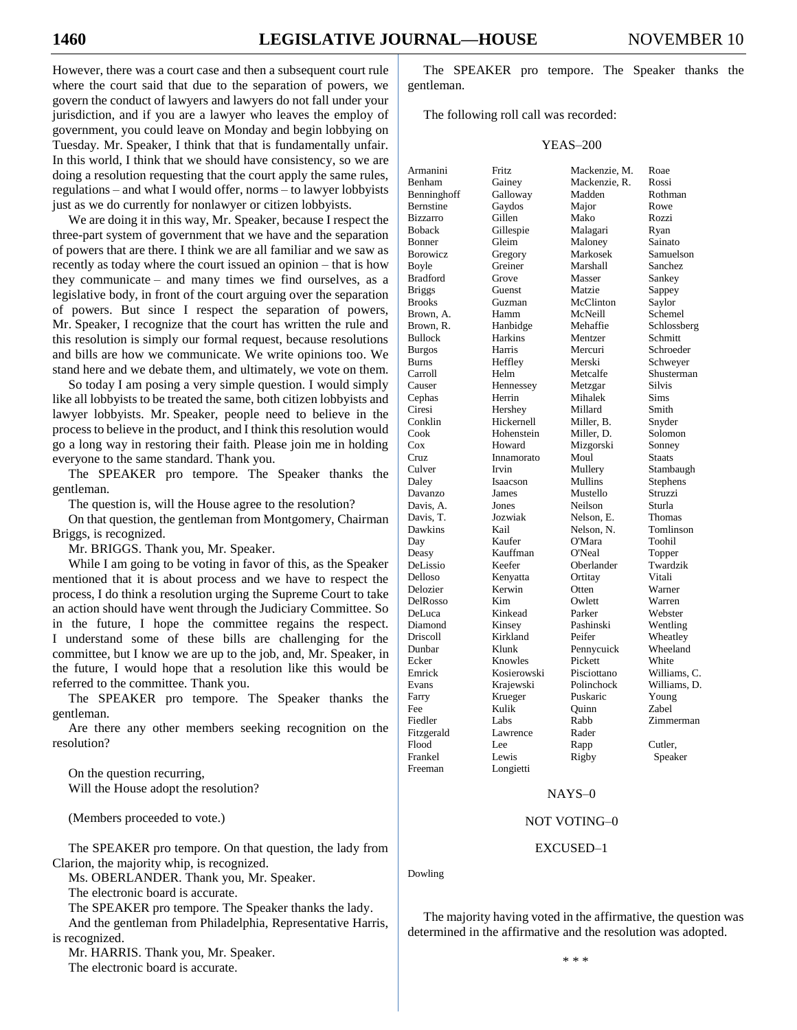However, there was a court case and then a subsequent court rule where the court said that due to the separation of powers, we govern the conduct of lawyers and lawyers do not fall under your jurisdiction, and if you are a lawyer who leaves the employ of government, you could leave on Monday and begin lobbying on Tuesday. Mr. Speaker, I think that that is fundamentally unfair. In this world, I think that we should have consistency, so we are doing a resolution requesting that the court apply the same rules, regulations – and what I would offer, norms – to lawyer lobbyists just as we do currently for nonlawyer or citizen lobbyists.

We are doing it in this way, Mr. Speaker, because I respect the three-part system of government that we have and the separation of powers that are there. I think we are all familiar and we saw as recently as today where the court issued an opinion – that is how they communicate – and many times we find ourselves, as a legislative body, in front of the court arguing over the separation of powers. But since I respect the separation of powers, Mr. Speaker, I recognize that the court has written the rule and this resolution is simply our formal request, because resolutions and bills are how we communicate. We write opinions too. We stand here and we debate them, and ultimately, we vote on them.

So today I am posing a very simple question. I would simply like all lobbyists to be treated the same, both citizen lobbyists and lawyer lobbyists. Mr. Speaker, people need to believe in the process to believe in the product, and I think this resolution would go a long way in restoring their faith. Please join me in holding everyone to the same standard. Thank you.

The SPEAKER pro tempore. The Speaker thanks the gentleman.

The question is, will the House agree to the resolution?

On that question, the gentleman from Montgomery, Chairman Briggs, is recognized.

Mr. BRIGGS. Thank you, Mr. Speaker.

While I am going to be voting in favor of this, as the Speaker mentioned that it is about process and we have to respect the process, I do think a resolution urging the Supreme Court to take an action should have went through the Judiciary Committee. So in the future, I hope the committee regains the respect. I understand some of these bills are challenging for the committee, but I know we are up to the job, and, Mr. Speaker, in the future, I would hope that a resolution like this would be referred to the committee. Thank you.

The SPEAKER pro tempore. The Speaker thanks the gentleman.

Are there any other members seeking recognition on the resolution?

On the question recurring, Will the House adopt the resolution?

(Members proceeded to vote.)

The SPEAKER pro tempore. On that question, the lady from Clarion, the majority whip, is recognized.

Ms. OBERLANDER. Thank you, Mr. Speaker.

The electronic board is accurate.

The SPEAKER pro tempore. The Speaker thanks the lady.

And the gentleman from Philadelphia, Representative Harris, is recognized.

Mr. HARRIS. Thank you, Mr. Speaker. The electronic board is accurate.

The SPEAKER pro tempore. The Speaker thanks the gentleman.

The following roll call was recorded:

#### YEAS–200

| Armanini        | Fritz               | Mackenzie, M. | Roae                   |
|-----------------|---------------------|---------------|------------------------|
| Benham          | Gainey              | Mackenzie, R. | Rossi                  |
| Benninghoff     | Galloway            | Madden        | Rothman                |
| Bernstine       | Gaydos              | Major         | Rowe                   |
| <b>Bizzarro</b> | Gillen              | Mako          | Rozzi                  |
| Boback          | Gillespie           | Malagari      | Ryan                   |
| Bonner          | Gleim               | Maloney       | Sainato                |
| <b>Borowicz</b> | Gregory             | Markosek      | Samuelson              |
| Boyle           | Greiner             | Marshall      | Sanchez                |
| <b>Bradford</b> | Grove               | Masser        | Sankey                 |
| <b>Briggs</b>   | Guenst              | Matzie        | Sappey                 |
| <b>Brooks</b>   | Guzman              | McClinton     | Saylor                 |
| Brown, A.       | Hamm                | McNeill       | Schemel                |
| Brown, R.       |                     | Mehaffie      |                        |
|                 | Hanbidge<br>Harkins |               | Schlossberg<br>Schmitt |
| <b>Bullock</b>  |                     | Mentzer       |                        |
| <b>Burgos</b>   | Harris              | Mercuri       | Schroeder              |
| Burns           | Heffley             | Merski        | Schweyer               |
| Carroll         | Helm                | Metcalfe      | Shusterman             |
| Causer          | Hennessey           | Metzgar       | <b>Silvis</b>          |
| Cephas          | Herrin              | Mihalek       | Sims                   |
| Ciresi          | Hershey             | Millard       | Smith                  |
| Conklin         | Hickernell          | Miller, B.    | Snyder                 |
| Cook            | Hohenstein          | Miller, D.    | Solomon                |
| $\cos$          | Howard              | Mizgorski     | Sonney                 |
| Cruz            | Innamorato          | Moul          | <b>Staats</b>          |
| Culver          | Irvin               | Mullery       | Stambaugh              |
| Daley           | Isaacson            | Mullins       | Stephens               |
| Davanzo         | James               | Mustello      | Struzzi                |
| Davis. A.       | Jones               | Neilson       | Sturla                 |
| Davis, T.       | Jozwiak             | Nelson, E.    | Thomas                 |
| Dawkins         | Kail                | Nelson, N.    | Tomlinson              |
| Day             | Kaufer              | O'Mara        | Toohil                 |
| Deasy           | Kauffman            | O'Neal        | Topper                 |
| DeLissio        | Keefer              | Oberlander    | Twardzik               |
| Delloso         | Kenyatta            | Ortitay       | Vitali                 |
| Delozier        | Kerwin              | Otten         | Warner                 |
| DelRosso        | Kim                 | Owlett        | Warren                 |
| DeLuca          | Kinkead             | Parker        | Webster                |
| Diamond         | Kinsey              | Pashinski     | Wentling               |
| Driscoll        | Kirkland            | Peifer        | Wheatley               |
| Dunbar          | Klunk               | Pennycuick    | Wheeland               |
| Ecker           | Knowles             | Pickett       | White                  |
| Emrick          | Kosierowski         | Pisciottano   | Williams, C.           |
| Evans           | Krajewski           | Polinchock    | Williams, D.           |
| Farry           | Krueger             | Puskaric      | Young                  |
| Fee             | Kulik               | Ouinn         | Zabel                  |
| Fiedler         | Labs                | Rabb          | Zimmerman              |
| Fitzgerald      | Lawrence            | Rader         |                        |
| Flood           | Lee                 | Rapp          | Cutler,                |
| Frankel         | Lewis               | Rigby         | Speaker                |
| Freeman         | Longietti           |               |                        |
|                 |                     |               |                        |

## NAYS–0

#### NOT VOTING–0

#### EXCUSED–1

Dowling

The majority having voted in the affirmative, the question was determined in the affirmative and the resolution was adopted.

\* \* \*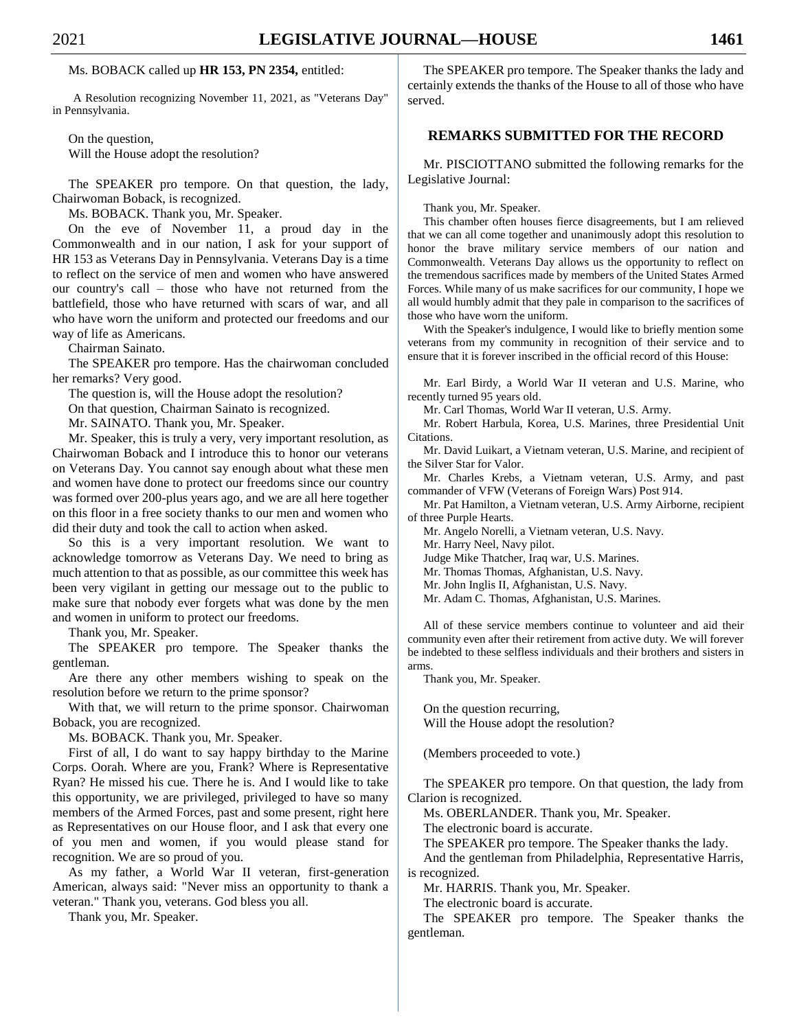#### Ms. BOBACK called up **HR 153, PN 2354,** entitled:

A Resolution recognizing November 11, 2021, as "Veterans Day" in Pennsylvania.

On the question, Will the House adopt the resolution?

The SPEAKER pro tempore. On that question, the lady, Chairwoman Boback, is recognized.

Ms. BOBACK. Thank you, Mr. Speaker.

On the eve of November 11, a proud day in the Commonwealth and in our nation, I ask for your support of HR 153 as Veterans Day in Pennsylvania. Veterans Day is a time to reflect on the service of men and women who have answered our country's call – those who have not returned from the battlefield, those who have returned with scars of war, and all who have worn the uniform and protected our freedoms and our way of life as Americans.

Chairman Sainato.

The SPEAKER pro tempore. Has the chairwoman concluded her remarks? Very good.

The question is, will the House adopt the resolution?

On that question, Chairman Sainato is recognized.

Mr. SAINATO. Thank you, Mr. Speaker.

Mr. Speaker, this is truly a very, very important resolution, as Chairwoman Boback and I introduce this to honor our veterans on Veterans Day. You cannot say enough about what these men and women have done to protect our freedoms since our country was formed over 200-plus years ago, and we are all here together on this floor in a free society thanks to our men and women who did their duty and took the call to action when asked.

So this is a very important resolution. We want to acknowledge tomorrow as Veterans Day. We need to bring as much attention to that as possible, as our committee this week has been very vigilant in getting our message out to the public to make sure that nobody ever forgets what was done by the men and women in uniform to protect our freedoms.

Thank you, Mr. Speaker.

The SPEAKER pro tempore. The Speaker thanks the gentleman.

Are there any other members wishing to speak on the resolution before we return to the prime sponsor?

With that, we will return to the prime sponsor. Chairwoman Boback, you are recognized.

Ms. BOBACK. Thank you, Mr. Speaker.

First of all, I do want to say happy birthday to the Marine Corps. Oorah. Where are you, Frank? Where is Representative Ryan? He missed his cue. There he is. And I would like to take this opportunity, we are privileged, privileged to have so many members of the Armed Forces, past and some present, right here as Representatives on our House floor, and I ask that every one of you men and women, if you would please stand for recognition. We are so proud of you.

As my father, a World War II veteran, first-generation American, always said: "Never miss an opportunity to thank a veteran." Thank you, veterans. God bless you all.

Thank you, Mr. Speaker.

The SPEAKER pro tempore. The Speaker thanks the lady and certainly extends the thanks of the House to all of those who have served.

# **REMARKS SUBMITTED FOR THE RECORD**

Mr. PISCIOTTANO submitted the following remarks for the Legislative Journal:

Thank you, Mr. Speaker.

This chamber often houses fierce disagreements, but I am relieved that we can all come together and unanimously adopt this resolution to honor the brave military service members of our nation and Commonwealth. Veterans Day allows us the opportunity to reflect on the tremendous sacrifices made by members of the United States Armed Forces. While many of us make sacrifices for our community, I hope we all would humbly admit that they pale in comparison to the sacrifices of those who have worn the uniform.

With the Speaker's indulgence, I would like to briefly mention some veterans from my community in recognition of their service and to ensure that it is forever inscribed in the official record of this House:

Mr. Earl Birdy, a World War II veteran and U.S. Marine, who recently turned 95 years old.

Mr. Carl Thomas, World War II veteran, U.S. Army.

Mr. Robert Harbula, Korea, U.S. Marines, three Presidential Unit Citations.

Mr. David Luikart, a Vietnam veteran, U.S. Marine, and recipient of the Silver Star for Valor.

Mr. Charles Krebs, a Vietnam veteran, U.S. Army, and past commander of VFW (Veterans of Foreign Wars) Post 914.

Mr. Pat Hamilton, a Vietnam veteran, U.S. Army Airborne, recipient of three Purple Hearts.

Mr. Angelo Norelli, a Vietnam veteran, U.S. Navy.

Mr. Harry Neel, Navy pilot.

Judge Mike Thatcher, Iraq war, U.S. Marines.

Mr. Thomas Thomas, Afghanistan, U.S. Navy.

Mr. John Inglis II, Afghanistan, U.S. Navy.

Mr. Adam C. Thomas, Afghanistan, U.S. Marines.

All of these service members continue to volunteer and aid their community even after their retirement from active duty. We will forever be indebted to these selfless individuals and their brothers and sisters in arms.

Thank you, Mr. Speaker.

On the question recurring, Will the House adopt the resolution?

(Members proceeded to vote.)

The SPEAKER pro tempore. On that question, the lady from Clarion is recognized.

Ms. OBERLANDER. Thank you, Mr. Speaker.

The electronic board is accurate.

The SPEAKER pro tempore. The Speaker thanks the lady.

And the gentleman from Philadelphia, Representative Harris, is recognized.

Mr. HARRIS. Thank you, Mr. Speaker.

The electronic board is accurate.

The SPEAKER pro tempore. The Speaker thanks the gentleman.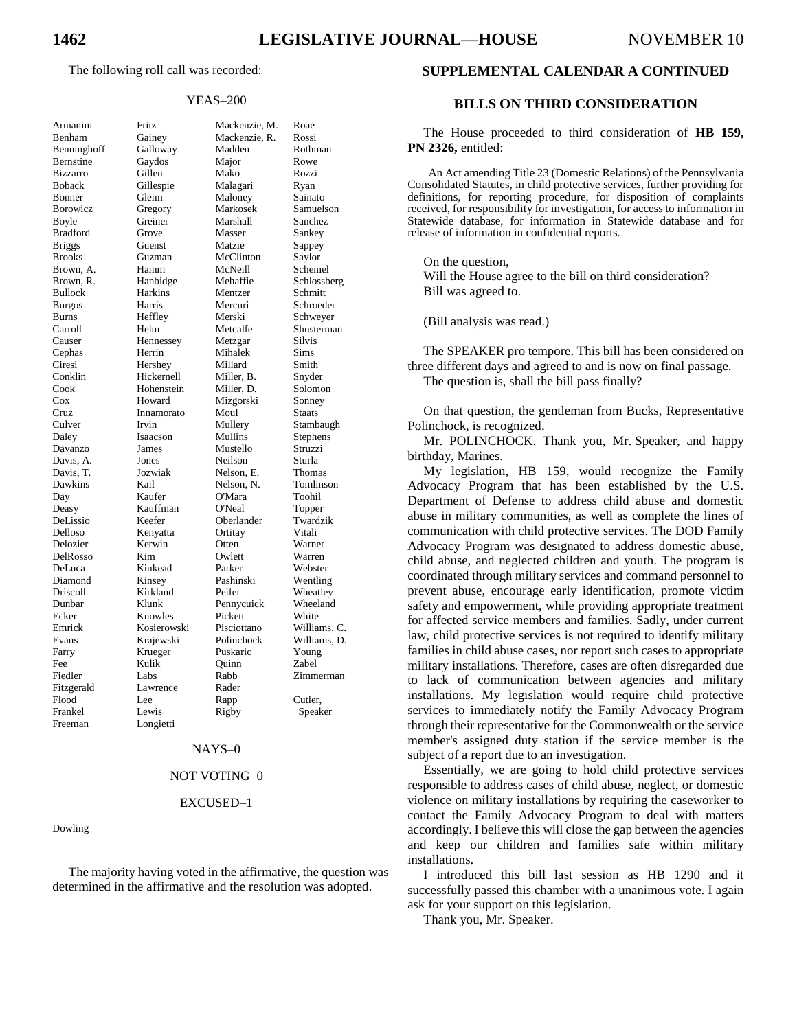The following roll call was recorded:

#### YEAS–200

| Armanini                                          |
|---------------------------------------------------|
| Benham                                            |
| Benninghoff                                       |
| Bernstine                                         |
| Bizzarro                                          |
| Boback                                            |
| Bonner                                            |
| Borowicz                                          |
| Boyle                                             |
| <b>Bradford</b>                                   |
| <b>Briggs</b>                                     |
| <b>Brooks</b>                                     |
|                                                   |
| Brown,<br>A.                                      |
| Brown, R.                                         |
| <b>Bullock</b>                                    |
| <b>Burgos</b>                                     |
| <b>Burns</b>                                      |
| Carroll                                           |
| Causer                                            |
|                                                   |
| Cephas<br>Ciresi<br>Conklin                       |
|                                                   |
|                                                   |
|                                                   |
|                                                   |
|                                                   |
| Contain<br>Cook<br>Cox<br>Cruz<br>Culver<br>Daley |
|                                                   |
| Davanzo                                           |
| Davis, A.                                         |
| Davis, T.                                         |
| Dawkins                                           |
| Day                                               |
|                                                   |
| Deasy<br>DeLissio                                 |
|                                                   |
| Delloso<br>Delozier                               |
| DelRosso                                          |
| DeLuca                                            |
| Diamond                                           |
| Driscoll                                          |
| Dunbar                                            |
| Ecker                                             |
| Emrick                                            |
|                                                   |
|                                                   |
| Evans                                             |
| Farry                                             |
| Fee                                               |
| Fiedler                                           |
| Fitzgerald                                        |
| Flood                                             |
| Frankel                                           |
| Freeman                                           |

Fritz Mackenzie, M. Roae Gainey Mackenzie, R. Rossi Galloway Madden Rothman Gaydos Major Rowe Bizzarro Gillen Mako Rozzi Gillespie Malagari Ryan Gleim Maloney Sainato Gregory Markosek Samuelson<br>Greiner Marshall Sanchez Boyle Greiner Marshall Sanchez Grove Masser Sankey Guenst Matzie Sappey Guzman McClinton Saylor Hamm McNeill Schemel Hanbidge Mehaffie Schlossberg Bullock Harkins Mentzer Schmitt Harris Mercuri Schroeder Heffley Merski Schweyer Helm Metcalfe Shusterman Hennessey Metzgar Silvis Herrin Mihalek Sims Hershey Millard Smith Hickernell Miller, B. Snyder Hohenstein Miller, D. Solomon Howard Mizgorski Sonney Innamorato Moul Staats Irvin Mullery Stambaugh<br>
Isaacson Mullins Stephens Isaacson Mullins Stephens James Mustello Struzzi Jones Neilson Sturla Van Jozwiak Nelson, E. Thomas<br>
Kail Nelson, N. Tomlins Tomlinson Kaufer O'Mara Toohil Kauffman O'Neal Topper Keefer Oberlander Twardzik Kenyatta Ortitay Vitali Kerwin Otten Warner DelRosso Kim Owlett Warren Kinkead Parker Webster Kinsey Pashinski Wentling Kirkland Peifer Wheatley Klunk Pennycuick Wheeland Knowles Pickett White Kosierowski Pisciottano Williams, C. Krajewski Polinchock Williams, D. Krueger Puskaric Young<br>Kulik Ouinn Zabel Fee Kulik Quinn Zabel Labs Rabb Zimmerman Lawrence Rader Flood Lee Rapp Cutler, Lewis Rigby Speaker Longietti

#### NAYS–0

#### NOT VOTING–0

#### EXCUSED–1

#### Dowling

The majority having voted in the affirmative, the question was determined in the affirmative and the resolution was adopted.

#### **SUPPLEMENTAL CALENDAR A CONTINUED**

#### **BILLS ON THIRD CONSIDERATION**

The House proceeded to third consideration of **HB 159, PN 2326,** entitled:

An Act amending Title 23 (Domestic Relations) of the Pennsylvania Consolidated Statutes, in child protective services, further providing for definitions, for reporting procedure, for disposition of complaints received, for responsibility for investigation, for access to information in Statewide database, for information in Statewide database and for release of information in confidential reports.

On the question, Will the House agree to the bill on third consideration? Bill was agreed to.

(Bill analysis was read.)

The SPEAKER pro tempore. This bill has been considered on three different days and agreed to and is now on final passage. The question is, shall the bill pass finally?

On that question, the gentleman from Bucks, Representative Polinchock, is recognized.

Mr. POLINCHOCK. Thank you, Mr. Speaker, and happy birthday, Marines.

My legislation, HB 159, would recognize the Family Advocacy Program that has been established by the U.S. Department of Defense to address child abuse and domestic abuse in military communities, as well as complete the lines of communication with child protective services. The DOD Family Advocacy Program was designated to address domestic abuse, child abuse, and neglected children and youth. The program is coordinated through military services and command personnel to prevent abuse, encourage early identification, promote victim safety and empowerment, while providing appropriate treatment for affected service members and families. Sadly, under current law, child protective services is not required to identify military families in child abuse cases, nor report such cases to appropriate military installations. Therefore, cases are often disregarded due to lack of communication between agencies and military installations. My legislation would require child protective services to immediately notify the Family Advocacy Program through their representative for the Commonwealth or the service member's assigned duty station if the service member is the subject of a report due to an investigation.

Essentially, we are going to hold child protective services responsible to address cases of child abuse, neglect, or domestic violence on military installations by requiring the caseworker to contact the Family Advocacy Program to deal with matters accordingly. I believe this will close the gap between the agencies and keep our children and families safe within military installations.

I introduced this bill last session as HB 1290 and it successfully passed this chamber with a unanimous vote. I again ask for your support on this legislation.

Thank you, Mr. Speaker.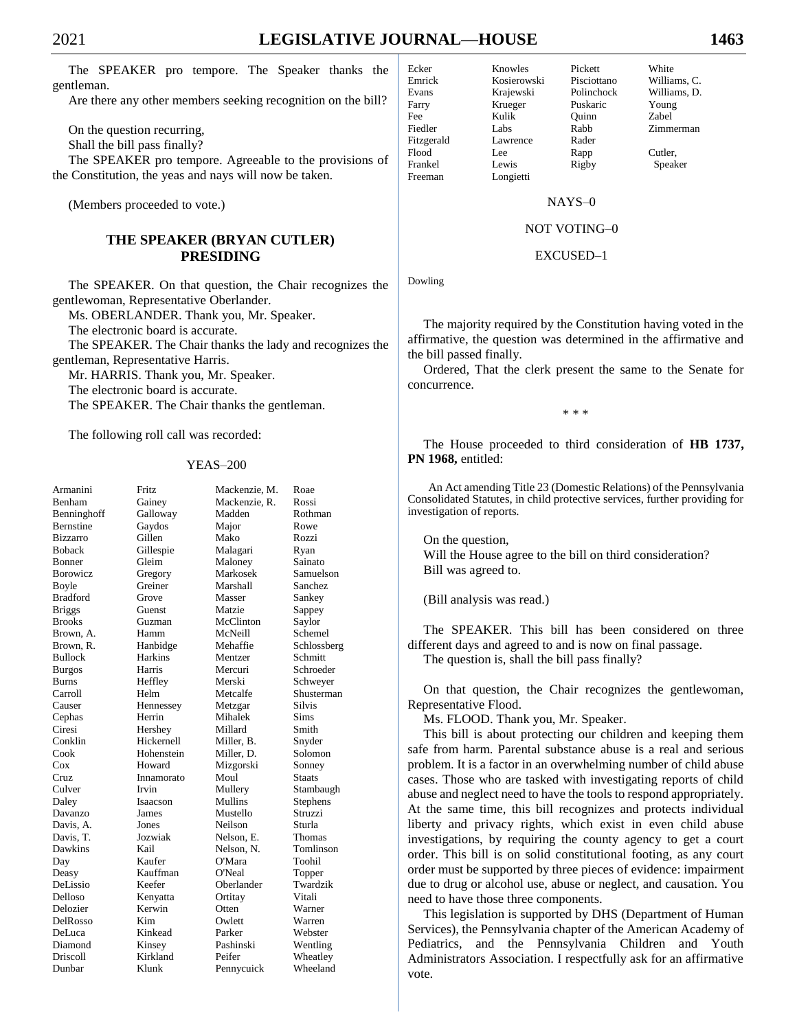The SPEAKER pro tempore. The Speaker thanks the gentleman.

Are there any other members seeking recognition on the bill?

On the question recurring,

Shall the bill pass finally?

The SPEAKER pro tempore. Agreeable to the provisions of the Constitution, the yeas and nays will now be taken.

(Members proceeded to vote.)

# THE SPEAKER (BRYAN CUTLER) **PRESIDING**

The SPEAKER. On that question, the Chair recognizes the gentlewoman, Representative Oberlander.

Ms. OBERLANDER. Thank you, Mr. Speaker.

The electronic board is accurate.

The SPEAKER. The Chair thanks the lady and recognizes the gentleman, Representative Harris.

Mr. HARRIS. Thank you, Mr. Speaker.

The electronic board is accurate.

The SPEAKER. The Chair thanks the gentleman.

The following roll call was recorded:

#### **YEAS-200**

| Armanini        | <b>Fritz</b>   | Mackenzie, M. | Roae        |
|-----------------|----------------|---------------|-------------|
| Benham          | Gainey         | Mackenzie, R. | Rossi       |
| Benninghoff     | Galloway       | Madden        | Rothman     |
| Bernstine       | Gaydos         | Major         | Rowe        |
| <b>Bizzarro</b> | Gillen         | Mako          | Rozzi       |
| <b>Boback</b>   | Gillespie      | Malagari      | Ryan        |
| Bonner          | Gleim          | Maloney       | Sainato     |
| <b>Borowicz</b> | Gregory        | Markosek      | Samuelson   |
| Boyle           | Greiner        | Marshall      | Sanchez     |
| <b>Bradford</b> | Grove          | Masser        | Sankey      |
| <b>Briggs</b>   | Guenst         | Matzie        | Sappey      |
| <b>Brooks</b>   | Guzman         | McClinton     | Saylor      |
| Brown, A.       | Hamm           | McNeill       | Schemel     |
| Brown, R.       | Hanbidge       | Mehaffie      | Schlossberg |
| <b>Bullock</b>  | <b>Harkins</b> | Mentzer       | Schmitt     |
| <b>Burgos</b>   | Harris         | Mercuri       | Schroeder   |
| Burns           | Heffley        | Merski        | Schweyer    |
| Carroll         | Helm           | Metcalfe      | Shusterman  |
| Causer          | Hennessey      | Metzgar       | Silvis      |
| Cephas          | Herrin         | Mihalek       | Sims        |
| Ciresi          | Hershey        | Millard       | Smith       |
| Conklin         | Hickernell     | Miller, B.    | Snyder      |
| Cook            | Hohenstein     | Miller, D.    | Solomon     |
| $\cos$          | Howard         | Mizgorski     | Sonney      |
| Cruz            | Innamorato     | Moul          | Staats      |
| Culver          | Irvin          | Mullery       | Stambaugh   |
| Daley           | Isaacson       | Mullins       | Stephens    |
| Davanzo         | James          | Mustello      | Struzzi     |
| Davis, A.       | Jones          | Neilson       | Sturla      |
| Davis, T.       | Jozwiak        | Nelson, E.    | Thomas      |
| Dawkins         | Kail           | Nelson, N.    | Tomlinson   |
| Day             | Kaufer         | O'Mara        | Toohil      |
| Deasy           | Kauffman       | O'Neal        | Topper      |
| DeLissio        | Keefer         | Oberlander    | Twardzik    |
| Delloso         | Kenyatta       | Ortitay       | Vitali      |
| Delozier        | Kerwin         | Otten         | Warner      |
| DelRosso        | Kim            | Owlett        | Warren      |
| DeLuca          | Kinkead        | Parker        | Webster     |
| Diamond         | Kinsey         | Pashinski     | Wentling    |
| <b>Driscoll</b> | Kirkland       | Peifer        | Wheatley    |
| Dunbar          | Klunk          | Pennycuick    | Wheeland    |

| Ecker      |
|------------|
| Emrick     |
| Evans      |
| Farry      |
| Fee        |
| Fiedler    |
| Fitzgerald |
| Flood      |
| Frankel    |
| Freeman    |

Krueger Kulik Labs Lawrence Lee. Lewis Longietti

Knowles

Kosierowski

Krajewski

Williams, C. Pisciottano Polinchock Williams, D. Puskaric

Young Zabel Zimmerman Cutler.

Speaker

White

# NAYS-0

Pickett

Ouinn

Rabb

Rader

Rapp

Rigby

#### NOT VOTING-0

#### EXCUSED-1

Dowling

The majority required by the Constitution having voted in the affirmative, the question was determined in the affirmative and the bill passed finally.

Ordered, That the clerk present the same to the Senate for concurrence.

 $* * *$ 

The House proceeded to third consideration of **HB 1737**, PN 1968, entitled:

An Act amending Title 23 (Domestic Relations) of the Pennsylvania Consolidated Statutes, in child protective services, further providing for investigation of reports.

On the question, Will the House agree to the bill on third consideration? Bill was agreed to.

(Bill analysis was read.)

The SPEAKER. This bill has been considered on three different days and agreed to and is now on final passage. The question is, shall the bill pass finally?

On that question, the Chair recognizes the gentlewoman, Representative Flood.

Ms. FLOOD. Thank you, Mr. Speaker.

This bill is about protecting our children and keeping them safe from harm. Parental substance abuse is a real and serious problem. It is a factor in an overwhelming number of child abuse cases. Those who are tasked with investigating reports of child abuse and neglect need to have the tools to respond appropriately. At the same time, this bill recognizes and protects individual liberty and privacy rights, which exist in even child abuse investigations, by requiring the county agency to get a court order. This bill is on solid constitutional footing, as any court order must be supported by three pieces of evidence: impairment due to drug or alcohol use, abuse or neglect, and causation. You need to have those three components.

This legislation is supported by DHS (Department of Human Services), the Pennsylvania chapter of the American Academy of Pediatrics, and the Pennsylvania Children and Youth Administrators Association. I respectfully ask for an affirmative vote.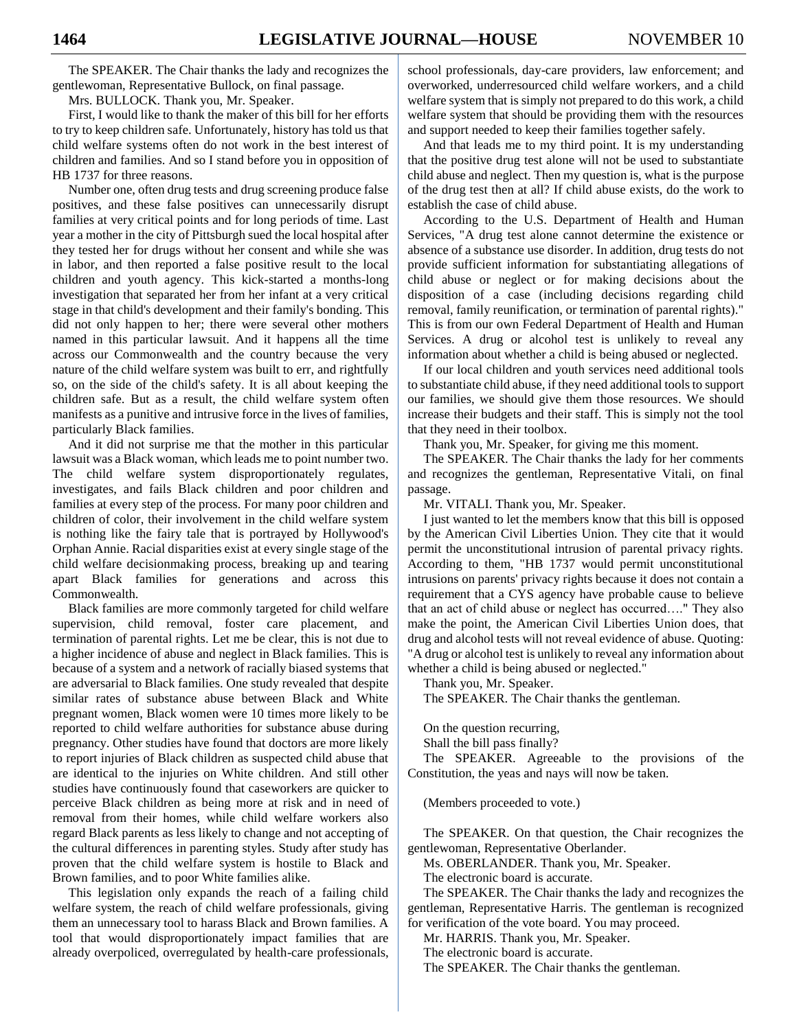The SPEAKER. The Chair thanks the lady and recognizes the gentlewoman, Representative Bullock, on final passage.

Mrs. BULLOCK. Thank you, Mr. Speaker.

First, I would like to thank the maker of this bill for her efforts to try to keep children safe. Unfortunately, history has told us that child welfare systems often do not work in the best interest of children and families. And so I stand before you in opposition of HB 1737 for three reasons.

Number one, often drug tests and drug screening produce false positives, and these false positives can unnecessarily disrupt families at very critical points and for long periods of time. Last year a mother in the city of Pittsburgh sued the local hospital after they tested her for drugs without her consent and while she was in labor, and then reported a false positive result to the local children and youth agency. This kick-started a months-long investigation that separated her from her infant at a very critical stage in that child's development and their family's bonding. This did not only happen to her; there were several other mothers named in this particular lawsuit. And it happens all the time across our Commonwealth and the country because the very nature of the child welfare system was built to err, and rightfully so, on the side of the child's safety. It is all about keeping the children safe. But as a result, the child welfare system often manifests as a punitive and intrusive force in the lives of families, particularly Black families.

And it did not surprise me that the mother in this particular lawsuit was a Black woman, which leads me to point number two. The child welfare system disproportionately regulates, investigates, and fails Black children and poor children and families at every step of the process. For many poor children and children of color, their involvement in the child welfare system is nothing like the fairy tale that is portrayed by Hollywood's Orphan Annie. Racial disparities exist at every single stage of the child welfare decisionmaking process, breaking up and tearing apart Black families for generations and across this Commonwealth.

Black families are more commonly targeted for child welfare supervision, child removal, foster care placement, and termination of parental rights. Let me be clear, this is not due to a higher incidence of abuse and neglect in Black families. This is because of a system and a network of racially biased systems that are adversarial to Black families. One study revealed that despite similar rates of substance abuse between Black and White pregnant women, Black women were 10 times more likely to be reported to child welfare authorities for substance abuse during pregnancy. Other studies have found that doctors are more likely to report injuries of Black children as suspected child abuse that are identical to the injuries on White children. And still other studies have continuously found that caseworkers are quicker to perceive Black children as being more at risk and in need of removal from their homes, while child welfare workers also regard Black parents as less likely to change and not accepting of the cultural differences in parenting styles. Study after study has proven that the child welfare system is hostile to Black and Brown families, and to poor White families alike.

This legislation only expands the reach of a failing child welfare system, the reach of child welfare professionals, giving them an unnecessary tool to harass Black and Brown families. A tool that would disproportionately impact families that are already overpoliced, overregulated by health-care professionals, school professionals, day-care providers, law enforcement; and overworked, underresourced child welfare workers, and a child welfare system that is simply not prepared to do this work, a child welfare system that should be providing them with the resources and support needed to keep their families together safely.

And that leads me to my third point. It is my understanding that the positive drug test alone will not be used to substantiate child abuse and neglect. Then my question is, what is the purpose of the drug test then at all? If child abuse exists, do the work to establish the case of child abuse.

According to the U.S. Department of Health and Human Services, "A drug test alone cannot determine the existence or absence of a substance use disorder. In addition, drug tests do not provide sufficient information for substantiating allegations of child abuse or neglect or for making decisions about the disposition of a case (including decisions regarding child removal, family reunification, or termination of parental rights)." This is from our own Federal Department of Health and Human Services. A drug or alcohol test is unlikely to reveal any information about whether a child is being abused or neglected.

If our local children and youth services need additional tools to substantiate child abuse, if they need additional tools to support our families, we should give them those resources. We should increase their budgets and their staff. This is simply not the tool that they need in their toolbox.

Thank you, Mr. Speaker, for giving me this moment.

The SPEAKER. The Chair thanks the lady for her comments and recognizes the gentleman, Representative Vitali, on final passage.

Mr. VITALI. Thank you, Mr. Speaker.

I just wanted to let the members know that this bill is opposed by the American Civil Liberties Union. They cite that it would permit the unconstitutional intrusion of parental privacy rights. According to them, "HB 1737 would permit unconstitutional intrusions on parents' privacy rights because it does not contain a requirement that a CYS agency have probable cause to believe that an act of child abuse or neglect has occurred…." They also make the point, the American Civil Liberties Union does, that drug and alcohol tests will not reveal evidence of abuse. Quoting: "A drug or alcohol test is unlikely to reveal any information about whether a child is being abused or neglected."

Thank you, Mr. Speaker.

The SPEAKER. The Chair thanks the gentleman.

On the question recurring, Shall the bill pass finally?

The SPEAKER. Agreeable to the provisions of the Constitution, the yeas and nays will now be taken.

(Members proceeded to vote.)

The SPEAKER. On that question, the Chair recognizes the gentlewoman, Representative Oberlander.

Ms. OBERLANDER. Thank you, Mr. Speaker.

The electronic board is accurate.

The SPEAKER. The Chair thanks the lady and recognizes the gentleman, Representative Harris. The gentleman is recognized for verification of the vote board. You may proceed.

Mr. HARRIS. Thank you, Mr. Speaker.

The electronic board is accurate.

The SPEAKER. The Chair thanks the gentleman.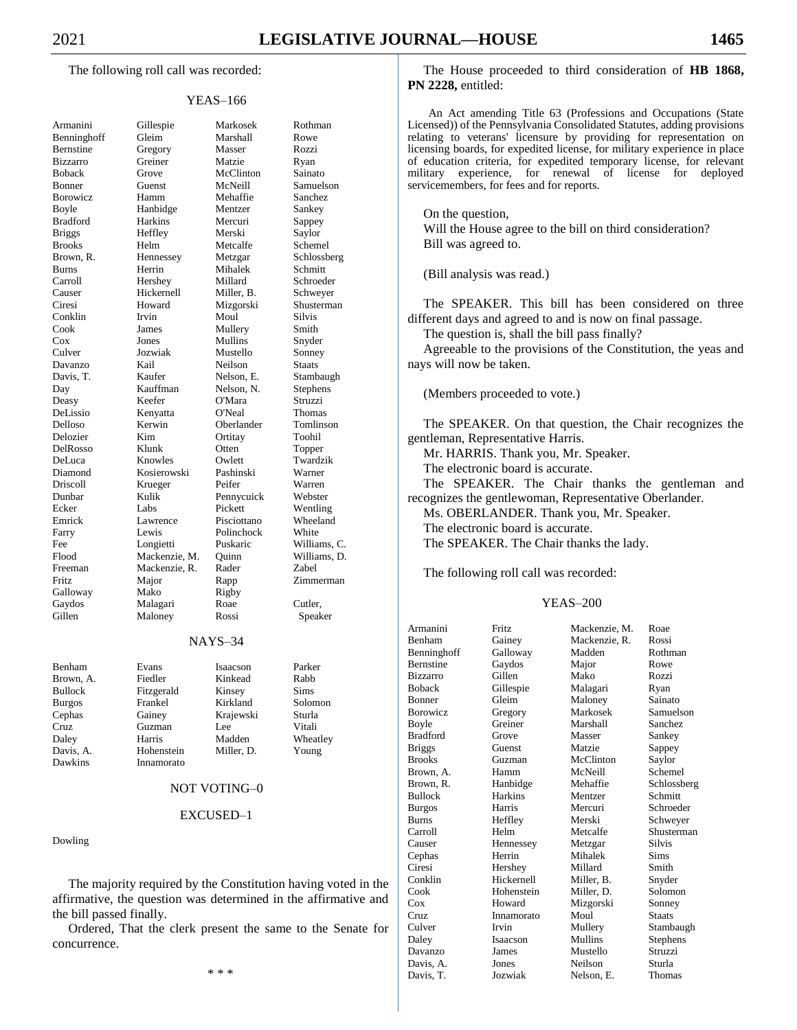The following roll call was recorded:

#### YEAS–166

| Armanini             |
|----------------------|
| Benninghoff          |
| Bernstine            |
| <b>Bizzarro</b>      |
| <b>Boback</b>        |
| Bonner               |
| Borowicz             |
| Boyle                |
| <b>Bradford</b>      |
| <b>Briggs</b>        |
| <b>Brooks</b>        |
| Brown, R.            |
| <b>Burns</b>         |
| Carroll              |
| Causer               |
| Ciresi               |
|                      |
| Conklin<br>Cook      |
| Cox                  |
| Culver               |
|                      |
| Davanzo<br>Davis, T. |
| Day                  |
| Deasy                |
|                      |
| DeLissio<br>Delloso  |
| Delozier             |
| DelRosso             |
| DeLuca               |
| Diamond              |
| .<br>Driscoll        |
| Dunbar               |
| Ecker                |
| Emrick               |
| Farry                |
| Fee                  |
| Flood                |
| Freeman              |
| Fritz                |
| Galloway             |
| Gaydos               |
| Gillen               |
|                      |

Gillespie Markosek Rothman Gleim Marshall Rowe Gregory Masser Rozzi Greiner Matzie Ryan Grove McClinton Sainato Guenst McNeill Samuelson Hamm Mehaffie Sanchez Hanbidge Mentzer Sankey<br>Harkins Mercuri Sanney Harkins Mercuri Sappey Heffley Merski Saylor Helm Metcalfe Schemel Hennessey Metzgar Schlossberg Burns Herrin Mihalek Schmitt Hershey Millard Schroeder Hickernell Miller, B. Schweyer<br>Howard Mizgorski Shusterma Howard Mizgorski Shusterman Conklin Irvin Moul Silvis James Mullery Smith Cox Jones Mullins Snyder Jozwiak Mustello Sonney Davanzo Kail Neilson Staats Kaufer Nelson, E. Stambaugh<br>
Kauffman Nelson, N. Stephens Keefer O'Mara Struzzi Kenyatta O'Neal Thomas Kerwin Oberlander Tomlinson<br>
Kim Ortitay Toohil Ortitay Klunk Otten Topper Knowles Owlett Twardzik Kosierowski Pashinski Warner<br>
Richard Peifer Warren Krueger Kulik Pennycuick Webster Ecker Labs Pickett Wentling Lawrence Pisciottano Wheeland Lewis Polinchock White Longietti Puskaric Williams, C. Mackenzie, M. Quinn Williams, D. Mackenzie, R. Rader Zabel<br>
Major Rapp Zimm Mako Rigby Malagari Roae Cutler, Maloney Rossi Speaker

Nelson, N. Stephens Rapp Zimmerman

#### NAYS–34

| Benham         | Evans      | Isaacson   | Parker      |
|----------------|------------|------------|-------------|
| Brown, A.      | Fiedler    | Kinkead    | Rabb        |
| <b>Bullock</b> | Fitzgerald | Kinsey     | <b>Sims</b> |
| <b>Burgos</b>  | Frankel    | Kirkland   | Solomon     |
| Cephas         | Gainey     | Krajewski  | Sturla      |
| Cruz.          | Guzman     | Lee        | Vitali      |
| Daley          | Harris     | Madden     | Wheatley    |
| Davis, A.      | Hohenstein | Miller, D. | Young       |
| Dawkins        | Innamorato |            |             |

#### NOT VOTING–0

#### EXCUSED–1

Dowling

The majority required by the Constitution having voted in the affirmative, the question was determined in the affirmative and the bill passed finally.

Ordered, That the clerk present the same to the Senate for concurrence.

\* \* \*

The House proceeded to third consideration of **HB 1868, PN 2228,** entitled:

An Act amending Title 63 (Professions and Occupations (State Licensed)) of the Pennsylvania Consolidated Statutes, adding provisions relating to veterans' licensure by providing for representation on licensing boards, for expedited license, for military experience in place of education criteria, for expedited temporary license, for relevant military experience, for renewal of license for deployed servicemembers, for fees and for reports.

On the question, Will the House agree to the bill on third consideration? Bill was agreed to.

(Bill analysis was read.)

The SPEAKER. This bill has been considered on three different days and agreed to and is now on final passage.

The question is, shall the bill pass finally?

Agreeable to the provisions of the Constitution, the yeas and nays will now be taken.

(Members proceeded to vote.)

The SPEAKER. On that question, the Chair recognizes the gentleman, Representative Harris.

Mr. HARRIS. Thank you, Mr. Speaker.

The electronic board is accurate.

The SPEAKER. The Chair thanks the gentleman and recognizes the gentlewoman, Representative Oberlander.

Ms. OBERLANDER. Thank you, Mr. Speaker.

The electronic board is accurate.

The SPEAKER. The Chair thanks the lady.

The following roll call was recorded:

#### YEAS–200

| Armanini         | Fritz.     | Mackenzie, M. | Roae          |
|------------------|------------|---------------|---------------|
| Benham           | Gainey     | Mackenzie, R. | Rossi         |
| Benninghoff      | Galloway   | Madden        | Rothman       |
| <b>Bernstine</b> | Gaydos     | Major         | Rowe          |
| <b>Bizzarro</b>  | Gillen     | Mako          | Rozzi         |
| <b>Boback</b>    | Gillespie  | Malagari      | Ryan          |
| <b>Bonner</b>    | Gleim      | Maloney       | Sainato       |
| <b>Borowicz</b>  | Gregory    | Markosek      | Samuelson     |
| Boyle            | Greiner    | Marshall      | Sanchez       |
| <b>Bradford</b>  | Grove      | Masser        | Sankey        |
| <b>Briggs</b>    | Guenst     | Matzie        | Sappey        |
| <b>Brooks</b>    | Guzman     | McClinton     | Saylor        |
| Brown, A.        | Hamm       | McNeill       | Schemel       |
| Brown, R.        | Hanbidge   | Mehaffie      | Schlossberg   |
| <b>Bullock</b>   | Harkins    | Mentzer       | Schmitt       |
| <b>Burgos</b>    | Harris     | Mercuri       | Schroeder     |
| <b>Burns</b>     | Heffley    | Merski        | Schweyer      |
| Carroll          | Helm       | Metcalfe      | Shusterman    |
| Causer           | Hennessey  | Metzgar       | <b>Silvis</b> |
| Cephas           | Herrin     | Mihalek       | <b>Sims</b>   |
| Ciresi           | Hershey    | Millard       | Smith         |
| Conklin          | Hickernell | Miller, B.    | Snyder        |
| Cook             | Hohenstein | Miller. D.    | Solomon       |
| $\cos$           | Howard     | Mizgorski     | Sonney        |
| Cruz             | Innamorato | Moul          | Staats        |
| Culver           | Irvin      | Mullery       | Stambaugh     |
| Daley            | Isaacson   | Mullins       | Stephens      |
| Davanzo          | James      | Mustello      | Struzzi       |
| Davis, A.        | Jones      | Neilson       | Sturla        |
| Davis, T.        | Jozwiak    | Nelson, E.    | Thomas        |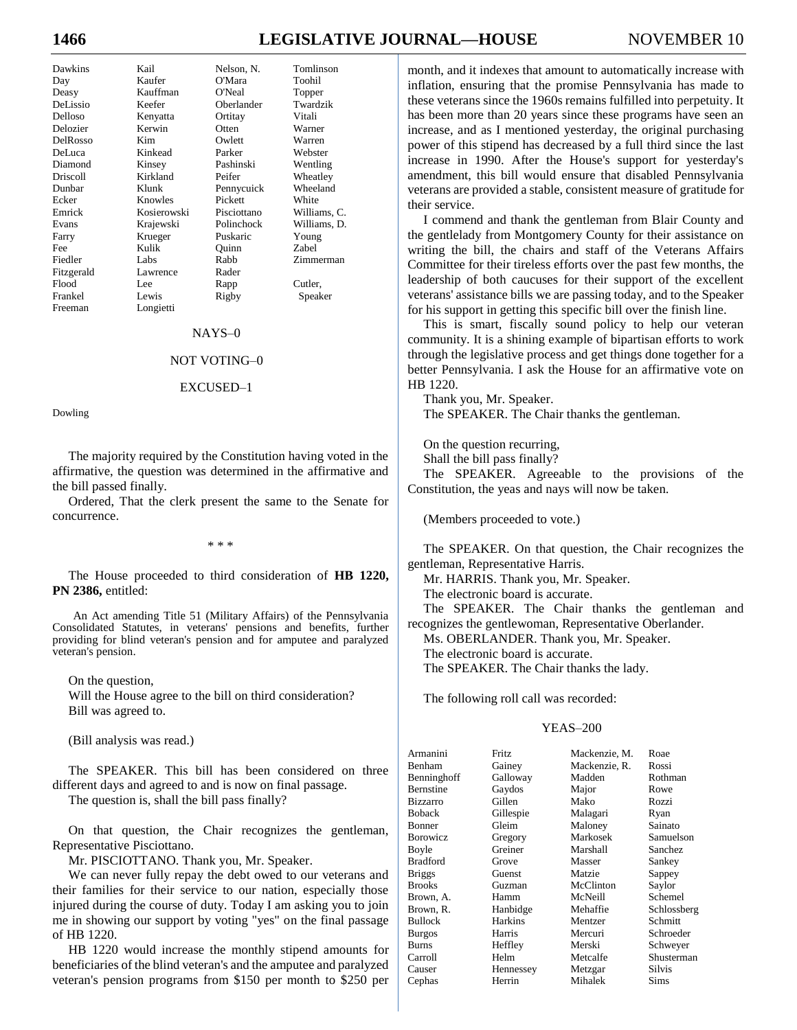# **1466 LEGISLATIVE JOURNAL—HOUSE** NOVEMBER 10

| Dawkins    | Kail        | Nelson, N.  | Tomlinson    |
|------------|-------------|-------------|--------------|
| Day        | Kaufer      | O'Mara      | Toohil       |
| Deasy      | Kauffman    | O'Neal      | Topper       |
| DeLissio   | Keefer      | Oberlander  | Twardzik     |
| Delloso    | Kenyatta    | Ortitay     | Vitali       |
| Delozier   | Kerwin      | Otten       | Warner       |
| DelRosso   | Kim         | Owlett      | Warren       |
| DeLuca     | Kinkead     | Parker      | Webster      |
| Diamond    | Kinsey      | Pashinski   | Wentling     |
| Driscoll   | Kirkland    | Peifer      | Wheatley     |
| Dunbar     | Klunk       | Pennycuick  | Wheeland     |
| Ecker      | Knowles     | Pickett     | White        |
| Emrick     | Kosierowski | Pisciottano | Williams, C. |
| Evans      | Krajewski   | Polinchock  | Williams, D. |
| Farry      | Krueger     | Puskaric    | Young        |
| Fee        | Kulik       | Ouinn       | Zabel        |
| Fiedler    | Labs        | Rabb        | Zimmerman    |
| Fitzgerald | Lawrence    | Rader       |              |
| Flood      | Lee.        | Rapp        | Cutler,      |
| Frankel    | Lewis       | Rigby       | Speaker      |
| Freeman    | Longietti   |             |              |

#### NAYS–0

#### NOT VOTING–0

#### EXCUSED–1

Dowling

The majority required by the Constitution having voted in the affirmative, the question was determined in the affirmative and the bill passed finally.

Ordered, That the clerk present the same to the Senate for concurrence.

\* \* \*

The House proceeded to third consideration of **HB 1220, PN 2386,** entitled:

An Act amending Title 51 (Military Affairs) of the Pennsylvania Consolidated Statutes, in veterans' pensions and benefits, further providing for blind veteran's pension and for amputee and paralyzed veteran's pension.

On the question,

Will the House agree to the bill on third consideration? Bill was agreed to.

(Bill analysis was read.)

The SPEAKER. This bill has been considered on three different days and agreed to and is now on final passage.

The question is, shall the bill pass finally?

On that question, the Chair recognizes the gentleman, Representative Pisciottano.

Mr. PISCIOTTANO. Thank you, Mr. Speaker.

We can never fully repay the debt owed to our veterans and their families for their service to our nation, especially those injured during the course of duty. Today I am asking you to join me in showing our support by voting "yes" on the final passage of HB 1220.

HB 1220 would increase the monthly stipend amounts for beneficiaries of the blind veteran's and the amputee and paralyzed veteran's pension programs from \$150 per month to \$250 per month, and it indexes that amount to automatically increase with inflation, ensuring that the promise Pennsylvania has made to these veterans since the 1960s remains fulfilled into perpetuity. It has been more than 20 years since these programs have seen an increase, and as I mentioned yesterday, the original purchasing power of this stipend has decreased by a full third since the last increase in 1990. After the House's support for yesterday's amendment, this bill would ensure that disabled Pennsylvania veterans are provided a stable, consistent measure of gratitude for their service.

I commend and thank the gentleman from Blair County and the gentlelady from Montgomery County for their assistance on writing the bill, the chairs and staff of the Veterans Affairs Committee for their tireless efforts over the past few months, the leadership of both caucuses for their support of the excellent veterans' assistance bills we are passing today, and to the Speaker for his support in getting this specific bill over the finish line.

This is smart, fiscally sound policy to help our veteran community. It is a shining example of bipartisan efforts to work through the legislative process and get things done together for a better Pennsylvania. I ask the House for an affirmative vote on HB 1220.

Thank you, Mr. Speaker. The SPEAKER. The Chair thanks the gentleman.

On the question recurring,

Shall the bill pass finally?

The SPEAKER. Agreeable to the provisions of the Constitution, the yeas and nays will now be taken.

(Members proceeded to vote.)

The SPEAKER. On that question, the Chair recognizes the gentleman, Representative Harris.

Mr. HARRIS. Thank you, Mr. Speaker.

The electronic board is accurate.

The SPEAKER. The Chair thanks the gentleman and recognizes the gentlewoman, Representative Oberlander.

Ms. OBERLANDER. Thank you, Mr. Speaker.

The electronic board is accurate.

The SPEAKER. The Chair thanks the lady.

The following roll call was recorded:

#### YEAS–200

| Armanini         | <b>Fritz</b> | Mackenzie, M. | Roae        |
|------------------|--------------|---------------|-------------|
| Benham           | Gainey       | Mackenzie, R. | Rossi       |
| Benninghoff      | Galloway     | Madden        | Rothman     |
| Bernstine        | Gaydos       | Major         | Rowe        |
| <b>Bizzarro</b>  | Gillen       | Mako          | Rozzi       |
| Boback           | Gillespie    | Malagari      | Ryan        |
| Bonner           | Gleim        | Maloney       | Sainato     |
| <b>B</b> orowicz | Gregory      | Markosek      | Samuelson   |
| Boyle            | Greiner      | Marshall      | Sanchez     |
| <b>Bradford</b>  | Grove        | Masser        | Sankey      |
| <b>Briggs</b>    | Guenst       | Matzie        | Sappey      |
| <b>Brooks</b>    | Guzman       | McClinton     | Saylor      |
| Brown, A.        | Hamm         | McNeill       | Schemel     |
| Brown, R.        | Hanbidge     | Mehaffie      | Schlossberg |
| Bullock          | Harkins      | Mentzer       | Schmitt     |
| <b>Burgos</b>    | Harris       | Mercuri       | Schroeder   |
| Burns            | Heffley      | Merski        | Schweyer    |
| Carroll          | Helm         | Metcalfe      | Shusterman  |
| Causer           | Hennessey    | Metzgar       | Silvis      |
| Cephas           | Herrin       | Mihalek       | Sims        |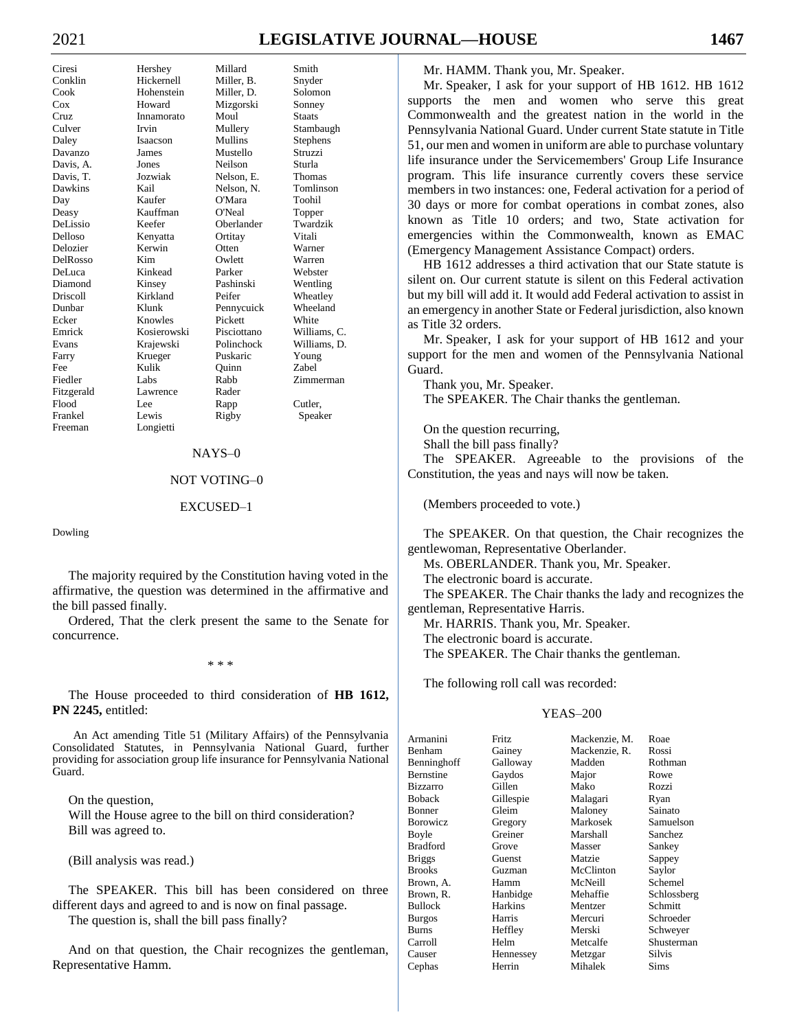# **LEGISLATIVE JOURNAL-HOUSE**

| Ciresi     |
|------------|
| Conklin    |
| Cook       |
| $\cos$     |
| Cruz       |
| Culver     |
| Daley      |
| Davanzo    |
| Davis, A.  |
| Davis, T.  |
| Dawkins    |
| Day        |
| Deasy      |
| DeLissio   |
| Delloso    |
| Delozier   |
| DelRosso   |
| DeLuca     |
| Diamond    |
| Driscoll   |
| Dunbar     |
| Ecker      |
| Emrick     |
| Evans      |
| Farry      |
| Fee        |
| Fiedler    |
| Fitzgerald |
| Flood      |
| Frankel    |
| Freeman    |

Millard Hershey Hickernell Miller, B. Hohenstein Miller, D. Howard Mizgorski Innamorato Moul Irvin Mullery Isaacson Mullins **James** Mustello Jones Neilson Nelson, E. Jozwiak Nelson, N. Kaufer O'Mara Kauffman O'Neal Keefer Oberlander Kenyatta Ortitay Kerwin Otten Kim Owlett Kinkead Parker Pashinski Kinsev Kirkland Peifer Klunk Pennycuick Knowles Pickett Kosierowski Pisciottano Polinchock Kraiewski Krueger Puskaric Kulik Ouinn Labs Rabb Lawrence Rader Rapp Lewis Rigby Longietti

Kail

Lee

#### Snyder Solomon Sonney **Staats** Stambaugh Stephens Struzzi Sturla Thomas Tomlinson Toohil Topper Twardzik Vitali Warner Warren Webster Wentling Wheatley Wheeland White Williams, C. Williams, D. Young Zabel Zimmerman Cutler, Speaker

Smith

#### $NAYS-0$

#### NOT VOTING-0

#### EXCUSED-1

Dowling

The majority required by the Constitution having voted in the affirmative, the question was determined in the affirmative and the bill passed finally.

Ordered, That the clerk present the same to the Senate for concurrence.

 $* * *$ 

The House proceeded to third consideration of HB 1612, PN 2245, entitled:

An Act amending Title 51 (Military Affairs) of the Pennsylvania Consolidated Statutes, in Pennsylvania National Guard, further providing for association group life insurance for Pennsylvania National Guard.

On the question, Will the House agree to the bill on third consideration? Bill was agreed to.

(Bill analysis was read.)

The SPEAKER. This bill has been considered on three different days and agreed to and is now on final passage.

The question is, shall the bill pass finally?

And on that question, the Chair recognizes the gentleman, Representative Hamm.

Mr. HAMM. Thank you, Mr. Speaker.

Mr. Speaker, I ask for your support of HB 1612. HB 1612 supports the men and women who serve this great Commonwealth and the greatest nation in the world in the Pennsylvania National Guard. Under current State statute in Title 51, our men and women in uniform are able to purchase voluntary life insurance under the Servicemembers' Group Life Insurance program. This life insurance currently covers these service members in two instances: one, Federal activation for a period of 30 days or more for combat operations in combat zones, also known as Title 10 orders; and two, State activation for emergencies within the Commonwealth, known as EMAC (Emergency Management Assistance Compact) orders.

HB 1612 addresses a third activation that our State statute is silent on. Our current statute is silent on this Federal activation but my bill will add it. It would add Federal activation to assist in an emergency in another State or Federal jurisdiction, also known as Title 32 orders.

Mr. Speaker, I ask for your support of HB 1612 and your support for the men and women of the Pennsylvania National Guard.

Thank you, Mr. Speaker. The SPEAKER. The Chair thanks the gentleman.

On the question recurring,

Shall the bill pass finally?

The SPEAKER. Agreeable to the provisions of the Constitution, the yeas and nays will now be taken.

(Members proceeded to vote.)

The SPEAKER. On that question, the Chair recognizes the gentlewoman, Representative Oberlander.

Ms. OBERLANDER. Thank you, Mr. Speaker.

The electronic board is accurate.

The SPEAKER. The Chair thanks the lady and recognizes the gentleman, Representative Harris.

Mr. HARRIS. Thank you, Mr. Speaker.

The electronic board is accurate. The SPEAKER. The Chair thanks the gentleman.

The following roll call was recorded:

#### **YEAS-200**

| Armanini        | Fritz     | Mackenzie, M. | Roae          |
|-----------------|-----------|---------------|---------------|
| Benham          | Gainey    | Mackenzie, R. | Rossi         |
| Benninghoff     | Galloway  | Madden        | Rothman       |
| Bernstine       | Gaydos    | Major         | Rowe          |
| <b>Bizzarro</b> | Gillen    | Mako          | Rozzi         |
| Boback          | Gillespie | Malagari      | Ryan          |
| Bonner          | Gleim     | Maloney       | Sainato       |
| Borowicz        | Gregory   | Markosek      | Samuelson     |
| Boyle           | Greiner   | Marshall      | Sanchez       |
| Bradford        | Grove     | Masser        | Sankey        |
| <b>Briggs</b>   | Guenst    | Matzie        | Sappey        |
| Brooks          | Guzman    | McClinton     | Saylor        |
| Brown, A.       | Hamm      | McNeill       | Schemel       |
| Brown, R.       | Hanbidge  | Mehaffie      | Schlossberg   |
| Bullock         | Harkins   | Mentzer       | Schmitt       |
| Burgos          | Harris    | Mercuri       | Schroeder     |
| Burns           | Heffley   | Merski        | Schweyer      |
| Carroll         | Helm      | Metcalfe      | Shusterman    |
| Causer          | Hennessey | Metzgar       | <b>Silvis</b> |
| Cephas          | Herrin    | Mihalek       | Sims          |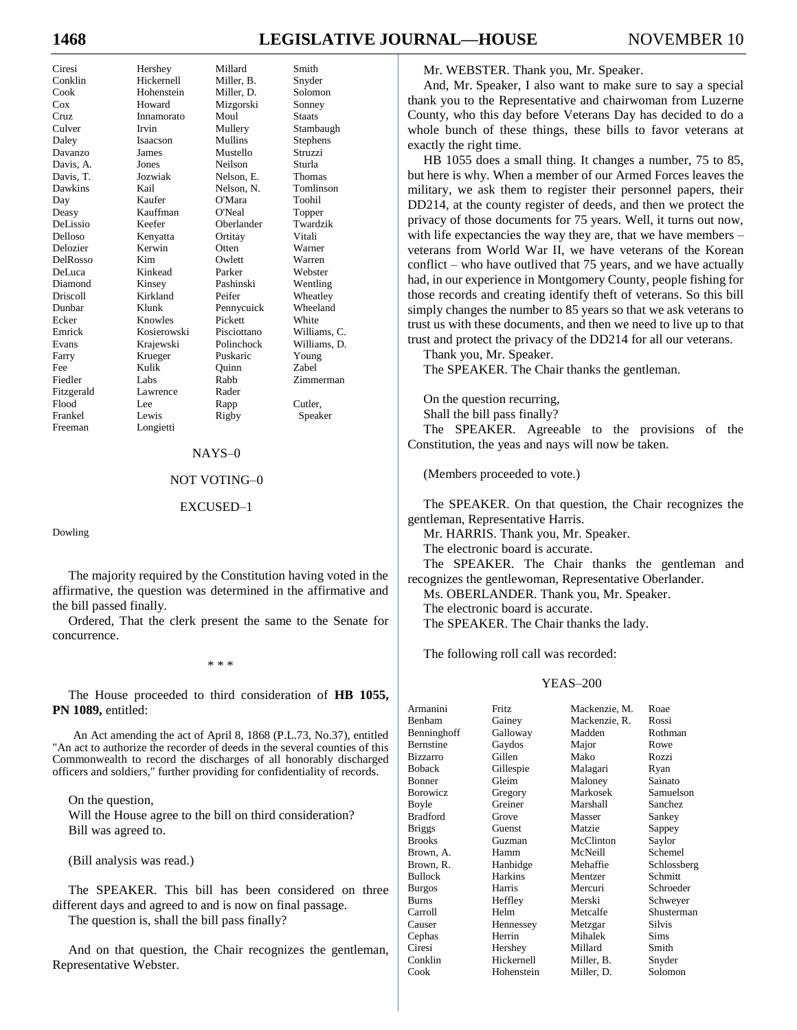# **LEGISLATIVE JOURNAL-HOUSE**

Hershey Millard Hickernell Miller, B. Hohenstein Miller, D. Howard Mizgorski Innamorato Moul Irvin Mullery Isaacson Mullins **James** Mustello Jones Neilson Nelson, E. Jozwiak Kail Nelson, N. Kaufer O'Mara Kauffman O'Neal Keefer Oberlander Kenyatta Ortitav Otten Kerwin Kim Owlett Kinkead Parker Kinsey Pashinski Kirkland Peifer Klunk Pennycuick Knowles Pickett Kosierowski Pisciottano Polinchock Kraiewski Krueger Puskaric Kulik Ouinn Labs Rabb Lawrence Rader Lee Rapp Lewis Rigby Longietti

#### Snyder Solomon Sonney **Staats** Stambaugh Stephens Struzzi Sturla Thomas Tomlinson Toohil Topper Twardzik Vitali Warner Warren Webster Wentling Wheatley Wheeland White Williams, C. Williams, D. Young Zabel Zimmerman Cutler, Speaker

Smith

#### $NAYS-0$

#### NOT VOTING-0

#### EXCUSED-1

Dowling

The majority required by the Constitution having voted in the affirmative, the question was determined in the affirmative and the bill passed finally.

Ordered, That the clerk present the same to the Senate for concurrence.

#### $* * *$

The House proceeded to third consideration of HB 1055, PN 1089, entitled:

An Act amending the act of April 8, 1868 (P.L.73, No.37), entitled "An act to authorize the recorder of deeds in the several counties of this Commonwealth to record the discharges of all honorably discharged officers and soldiers," further providing for confidentiality of records.

On the question,

Will the House agree to the bill on third consideration? Bill was agreed to.

(Bill analysis was read.)

The SPEAKER. This bill has been considered on three different days and agreed to and is now on final passage.

The question is, shall the bill pass finally?

And on that question, the Chair recognizes the gentleman, Representative Webster.

Mr. WEBSTER. Thank you, Mr. Speaker.

And, Mr. Speaker, I also want to make sure to say a special thank you to the Representative and chairwoman from Luzerne County, who this day before Veterans Day has decided to do a whole bunch of these things, these bills to favor veterans at exactly the right time.

HB 1055 does a small thing. It changes a number, 75 to 85, but here is why. When a member of our Armed Forces leaves the military, we ask them to register their personnel papers, their DD214, at the county register of deeds, and then we protect the privacy of those documents for 75 years. Well, it turns out now, with life expectancies the way they are, that we have members veterans from World War II, we have veterans of the Korean conflict – who have outlived that  $75$  years, and we have actually had, in our experience in Montgomery County, people fishing for those records and creating identify theft of veterans. So this bill simply changes the number to 85 years so that we ask veterans to trust us with these documents, and then we need to live up to that trust and protect the privacy of the DD214 for all our veterans.

Thank you, Mr. Speaker.

The SPEAKER. The Chair thanks the gentleman.

On the question recurring, Shall the bill pass finally?

The SPEAKER. Agreeable to the provisions of the Constitution, the yeas and nays will now be taken.

(Members proceeded to vote.)

The SPEAKER. On that question, the Chair recognizes the gentleman, Representative Harris.

Mr. HARRIS. Thank you, Mr. Speaker.

The electronic board is accurate.

The SPEAKER. The Chair thanks the gentleman and recognizes the gentlewoman, Representative Oberlander.

Ms. OBERLANDER. Thank you, Mr. Speaker.

The electronic board is accurate.

The SPEAKER. The Chair thanks the lady.

The following roll call was recorded:

#### **YEAS-200**

| Armanini        | Fritz          | Mackenzie, M. | Roae          |
|-----------------|----------------|---------------|---------------|
| Benham          | Gainey         | Mackenzie, R. | Rossi         |
| Benninghoff     | Galloway       | Madden        | Rothman       |
| Bernstine       | Gaydos         | Major         | Rowe          |
| Bizzarro        | Gillen         | Mako          | Rozzi         |
| Boback          | Gillespie      | Malagari      | Ryan          |
| Bonner          | Gleim          | Maloney       | Sainato       |
| Borowicz        | Gregory        | Markosek      | Samuelson     |
| Boyle           | Greiner        | Marshall      | Sanchez       |
| <b>Bradford</b> | Grove          | Masser        | Sankey        |
| <b>Briggs</b>   | Guenst         | Matzie        | Sappey        |
| <b>Brooks</b>   | Guzman         | McClinton     | Saylor        |
| Brown, A.       | Hamm           | McNeill       | Schemel       |
| Brown, R.       | Hanbidge       | Mehaffie      | Schlossberg   |
| <b>Bullock</b>  | <b>Harkins</b> | Mentzer       | Schmitt       |
| <b>Burgos</b>   | Harris         | Mercuri       | Schroeder     |
| <b>Burns</b>    | Heffley        | Merski        | Schweyer      |
| Carroll         | Helm           | Metcalfe      | Shusterman    |
| Causer          | Hennessey      | Metzgar       | <b>Silvis</b> |
| Cephas          | Herrin         | Mihalek       | <b>Sims</b>   |
| Ciresi          | Hershey        | Millard       | Smith         |
| Conklin         | Hickernell     | Miller, B.    | Snyder        |
| Cook            | Hohenstein     | Miller D      | Solomon       |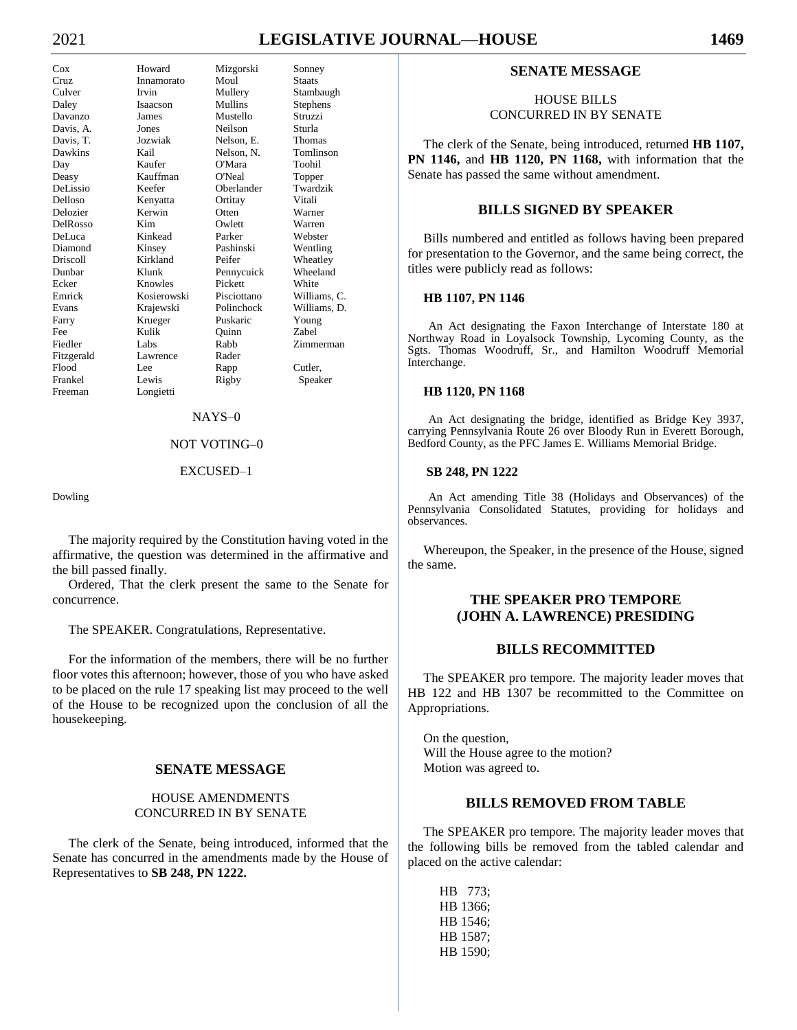# 2021 **LEGISLATIVE JOURNAL—HOUSE 1469**

# Cox Howard Mizgorski Sonney

Cruz Innamorato Moul Staats Culver Irvin Mullery Stambaugh Daley Isaacson Mullins Stephens Davanzo James Mustello Struzzi Davis, A. Jones Neilson Sturla Davis, T. Jozwiak Nelson, E. Thomas Dawkins Kail Nelson, N. Tomlinson Day Kaufer O'Mara Toohil Deasy Kauffman O'Neal Topper DeLissio Keefer Oberlander Delloso Kenyatta Ortitay Vitali Delozier Kerwin Otten Warner DelRosso Kim Owlett DeLuca Kinkead Parker Webster Diamond Kinsey Pashinski Wentling Driscoll Kirkland Peifer Wheatley Dunbar Klunk Pennycuick Wheeland Ecker Knowles Pickett White Emrick Kosierowski Pisciottano Williams, C. Evans Krajewski Polinchock Williams, D. Farry Krueger Puskaric Fee Kulik Quinn Zabel Fiedler Labs Rabb Zimmerman Fitzgerald Lawrence Rader Flood Lee Rapp Cutler, Frankel Lewis Rigby Speaker<br>Freeman Longietti Longietti

#### NAYS–0

## NOT VOTING–0

#### EXCUSED–1

Dowling

The majority required by the Constitution having voted in the affirmative, the question was determined in the affirmative and the bill passed finally.

Ordered, That the clerk present the same to the Senate for concurrence.

The SPEAKER. Congratulations, Representative.

For the information of the members, there will be no further floor votes this afternoon; however, those of you who have asked to be placed on the rule 17 speaking list may proceed to the well of the House to be recognized upon the conclusion of all the housekeeping.

#### **SENATE MESSAGE**

#### HOUSE AMENDMENTS CONCURRED IN BY SENATE

The clerk of the Senate, being introduced, informed that the Senate has concurred in the amendments made by the House of Representatives to **SB 248, PN 1222.**

#### **SENATE MESSAGE**

#### HOUSE BILLS CONCURRED IN BY SENATE

The clerk of the Senate, being introduced, returned **HB 1107, PN 1146,** and **HB 1120, PN 1168,** with information that the Senate has passed the same without amendment.

#### **BILLS SIGNED BY SPEAKER**

Bills numbered and entitled as follows having been prepared for presentation to the Governor, and the same being correct, the titles were publicly read as follows:

#### **HB 1107, PN 1146**

An Act designating the Faxon Interchange of Interstate 180 at Northway Road in Loyalsock Township, Lycoming County, as the Sgts. Thomas Woodruff, Sr., and Hamilton Woodruff Memorial Interchange.

#### **HB 1120, PN 1168**

An Act designating the bridge, identified as Bridge Key 3937, carrying Pennsylvania Route 26 over Bloody Run in Everett Borough, Bedford County, as the PFC James E. Williams Memorial Bridge.

#### **SB 248, PN 1222**

An Act amending Title 38 (Holidays and Observances) of the Pennsylvania Consolidated Statutes, providing for holidays and observances.

Whereupon, the Speaker, in the presence of the House, signed the same.

# **THE SPEAKER PRO TEMPORE (JOHN A. LAWRENCE) PRESIDING**

#### **BILLS RECOMMITTED**

The SPEAKER pro tempore. The majority leader moves that HB 122 and HB 1307 be recommitted to the Committee on Appropriations.

On the question, Will the House agree to the motion? Motion was agreed to.

# **BILLS REMOVED FROM TABLE**

The SPEAKER pro tempore. The majority leader moves that the following bills be removed from the tabled calendar and placed on the active calendar:

HB 773; HB 1366; HB 1546; HB 1587; HB 1590;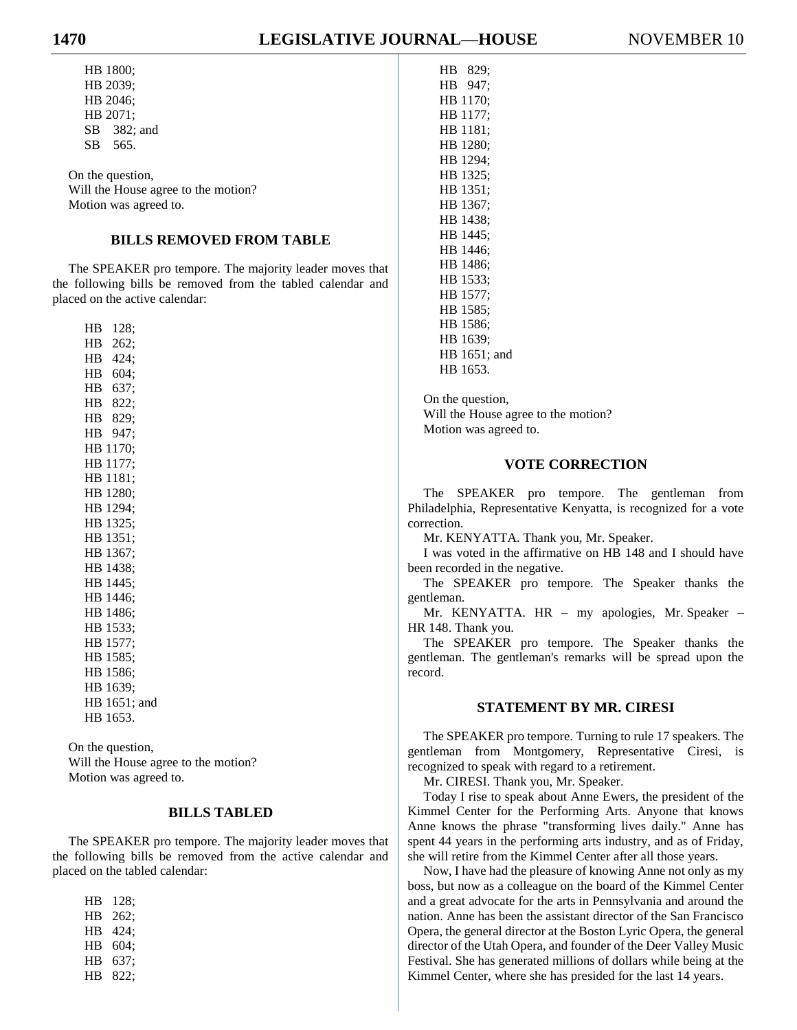HB 1800; HB 2039; HB 2046; HB 2071; SB 382; and SB 565.

On the question, Will the House agree to the motion? Motion was agreed to.

# **BILLS REMOVED FROM TABLE**

The SPEAKER pro tempore. The majority leader moves that the following bills be removed from the tabled calendar and placed on the active calendar:

HB 128; HB 262; HB 424; HB 604; HB 637; HB 822; HB 829; HB 947; HB 1170; HB 1177; HB 1181; HB 1280; HB 1294; HB 1325; HB 1351; HB 1367; HB 1438; HB 1445; HB 1446; HB 1486; HB 1533; HB 1577; HB 1585; HB 1586; HB 1639; HB 1651; and HB 1653.

On the question, Will the House agree to the motion? Motion was agreed to.

#### **BILLS TABLED**

The SPEAKER pro tempore. The majority leader moves that the following bills be removed from the active calendar and placed on the tabled calendar:

| НB | 128: |
|----|------|
| HВ | 262: |
| НB | 424; |
| НB | 604; |
| HВ | 637: |
| HВ | 822: |

| HB. | 947;         |  |
|-----|--------------|--|
|     | HB 1170:     |  |
|     | HB 1177:     |  |
|     | HB 1181;     |  |
|     | HB 1280;     |  |
|     | HB 1294;     |  |
| HB  | 1325:        |  |
| HB. | 1351;        |  |
| HB. | 1367:        |  |
|     | HB 1438;     |  |
|     | HB 1445:     |  |
|     | HB 1446;     |  |
|     | HB 1486;     |  |
| HB. | 1533;        |  |
| HB. | 1577:        |  |
| HB  | 1585:        |  |
|     | HB 1586:     |  |
|     | HB 1639:     |  |
|     | HB 1651; and |  |
|     | HB 1653.     |  |
|     |              |  |

HB 829;

On the question, Will the House agree to the motion? Motion was agreed to.

#### **VOTE CORRECTION**

The SPEAKER pro tempore. The gentleman from Philadelphia, Representative Kenyatta, is recognized for a vote correction.

Mr. KENYATTA. Thank you, Mr. Speaker.

I was voted in the affirmative on HB 148 and I should have been recorded in the negative.

The SPEAKER pro tempore. The Speaker thanks the gentleman.

Mr. KENYATTA. HR – my apologies, Mr. Speaker – HR 148. Thank you.

The SPEAKER pro tempore. The Speaker thanks the gentleman. The gentleman's remarks will be spread upon the record.

# **STATEMENT BY MR. CIRESI**

The SPEAKER pro tempore. Turning to rule 17 speakers. The gentleman from Montgomery, Representative Ciresi, is recognized to speak with regard to a retirement.

Mr. CIRESI. Thank you, Mr. Speaker.

Today I rise to speak about Anne Ewers, the president of the Kimmel Center for the Performing Arts. Anyone that knows Anne knows the phrase "transforming lives daily." Anne has spent 44 years in the performing arts industry, and as of Friday, she will retire from the Kimmel Center after all those years.

Now, I have had the pleasure of knowing Anne not only as my boss, but now as a colleague on the board of the Kimmel Center and a great advocate for the arts in Pennsylvania and around the nation. Anne has been the assistant director of the San Francisco Opera, the general director at the Boston Lyric Opera, the general director of the Utah Opera, and founder of the Deer Valley Music Festival. She has generated millions of dollars while being at the Kimmel Center, where she has presided for the last 14 years.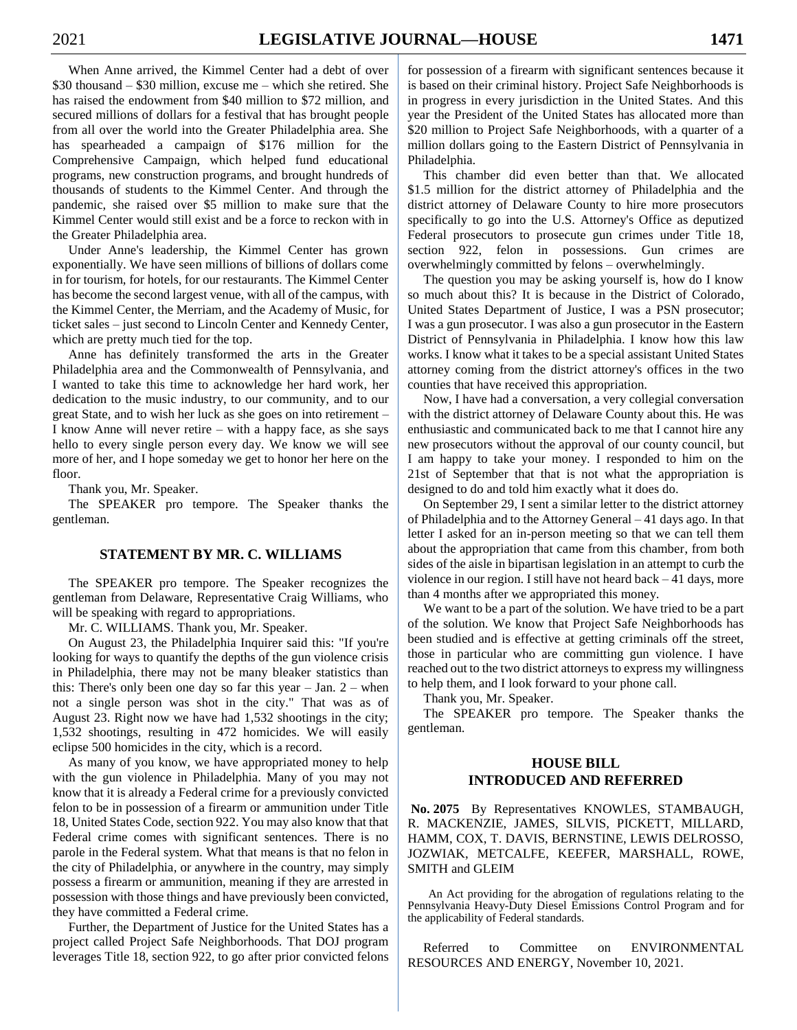When Anne arrived, the Kimmel Center had a debt of over \$30 thousand – \$30 million, excuse me – which she retired. She has raised the endowment from \$40 million to \$72 million, and secured millions of dollars for a festival that has brought people from all over the world into the Greater Philadelphia area. She has spearheaded a campaign of \$176 million for the Comprehensive Campaign, which helped fund educational programs, new construction programs, and brought hundreds of thousands of students to the Kimmel Center. And through the pandemic, she raised over \$5 million to make sure that the Kimmel Center would still exist and be a force to reckon with in the Greater Philadelphia area.

Under Anne's leadership, the Kimmel Center has grown exponentially. We have seen millions of billions of dollars come in for tourism, for hotels, for our restaurants. The Kimmel Center has become the second largest venue, with all of the campus, with the Kimmel Center, the Merriam, and the Academy of Music, for ticket sales – just second to Lincoln Center and Kennedy Center, which are pretty much tied for the top.

Anne has definitely transformed the arts in the Greater Philadelphia area and the Commonwealth of Pennsylvania, and I wanted to take this time to acknowledge her hard work, her dedication to the music industry, to our community, and to our great State, and to wish her luck as she goes on into retirement – I know Anne will never retire – with a happy face, as she says hello to every single person every day. We know we will see more of her, and I hope someday we get to honor her here on the floor.

Thank you, Mr. Speaker.

The SPEAKER pro tempore. The Speaker thanks the gentleman.

# **STATEMENT BY MR. C. WILLIAMS**

The SPEAKER pro tempore. The Speaker recognizes the gentleman from Delaware, Representative Craig Williams, who will be speaking with regard to appropriations.

Mr. C. WILLIAMS. Thank you, Mr. Speaker.

On August 23, the Philadelphia Inquirer said this: "If you're looking for ways to quantify the depths of the gun violence crisis in Philadelphia, there may not be many bleaker statistics than this: There's only been one day so far this year  $-$  Jan.  $2$  – when not a single person was shot in the city." That was as of August 23. Right now we have had 1,532 shootings in the city; 1,532 shootings, resulting in 472 homicides. We will easily eclipse 500 homicides in the city, which is a record.

As many of you know, we have appropriated money to help with the gun violence in Philadelphia. Many of you may not know that it is already a Federal crime for a previously convicted felon to be in possession of a firearm or ammunition under Title 18, United States Code, section 922. You may also know that that Federal crime comes with significant sentences. There is no parole in the Federal system. What that means is that no felon in the city of Philadelphia, or anywhere in the country, may simply possess a firearm or ammunition, meaning if they are arrested in possession with those things and have previously been convicted, they have committed a Federal crime.

Further, the Department of Justice for the United States has a project called Project Safe Neighborhoods. That DOJ program leverages Title 18, section 922, to go after prior convicted felons for possession of a firearm with significant sentences because it is based on their criminal history. Project Safe Neighborhoods is in progress in every jurisdiction in the United States. And this year the President of the United States has allocated more than \$20 million to Project Safe Neighborhoods, with a quarter of a million dollars going to the Eastern District of Pennsylvania in Philadelphia.

This chamber did even better than that. We allocated \$1.5 million for the district attorney of Philadelphia and the district attorney of Delaware County to hire more prosecutors specifically to go into the U.S. Attorney's Office as deputized Federal prosecutors to prosecute gun crimes under Title 18, section 922, felon in possessions. Gun crimes are overwhelmingly committed by felons – overwhelmingly.

The question you may be asking yourself is, how do I know so much about this? It is because in the District of Colorado, United States Department of Justice, I was a PSN prosecutor; I was a gun prosecutor. I was also a gun prosecutor in the Eastern District of Pennsylvania in Philadelphia. I know how this law works. I know what it takes to be a special assistant United States attorney coming from the district attorney's offices in the two counties that have received this appropriation.

Now, I have had a conversation, a very collegial conversation with the district attorney of Delaware County about this. He was enthusiastic and communicated back to me that I cannot hire any new prosecutors without the approval of our county council, but I am happy to take your money. I responded to him on the 21st of September that that is not what the appropriation is designed to do and told him exactly what it does do.

On September 29, I sent a similar letter to the district attorney of Philadelphia and to the Attorney General – 41 days ago. In that letter I asked for an in-person meeting so that we can tell them about the appropriation that came from this chamber, from both sides of the aisle in bipartisan legislation in an attempt to curb the violence in our region. I still have not heard back – 41 days, more than 4 months after we appropriated this money.

We want to be a part of the solution. We have tried to be a part of the solution. We know that Project Safe Neighborhoods has been studied and is effective at getting criminals off the street, those in particular who are committing gun violence. I have reached out to the two district attorneys to express my willingness to help them, and I look forward to your phone call.

Thank you, Mr. Speaker.

The SPEAKER pro tempore. The Speaker thanks the gentleman.

# **HOUSE BILL INTRODUCED AND REFERRED**

**No. 2075** By Representatives KNOWLES, STAMBAUGH, R. MACKENZIE, JAMES, SILVIS, PICKETT, MILLARD, HAMM, COX, T. DAVIS, BERNSTINE, LEWIS DELROSSO, JOZWIAK, METCALFE, KEEFER, MARSHALL, ROWE, SMITH and GLEIM

An Act providing for the abrogation of regulations relating to the Pennsylvania Heavy-Duty Diesel Emissions Control Program and for the applicability of Federal standards.

Referred to Committee on ENVIRONMENTAL RESOURCES AND ENERGY, November 10, 2021.